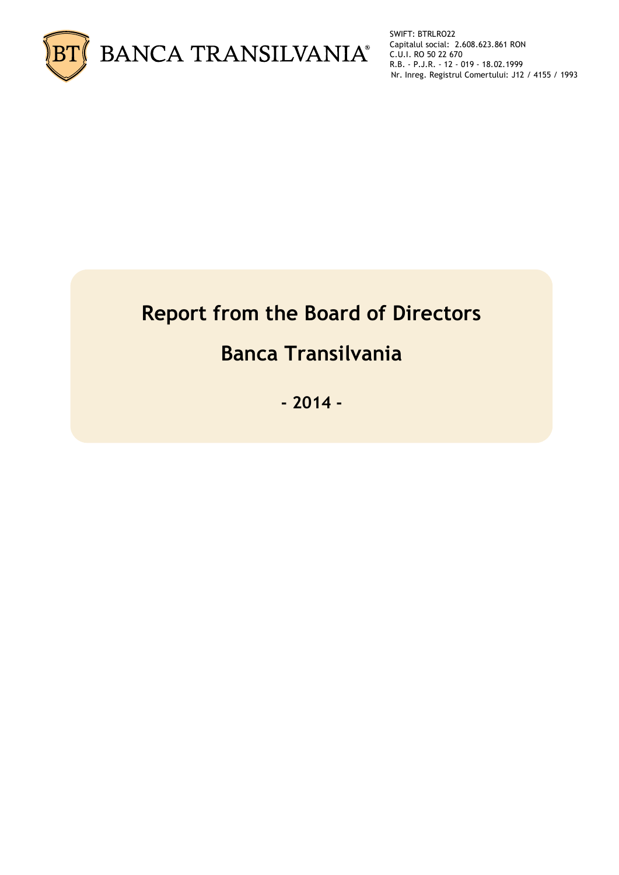

SWIFT: BTRLRO22 Capitalul social: 2.608.623.861 RON C.U.I. RO 50 22 670 R.B. - P.J.R. - 12 - 019 - 18.02.1999 Nr. Inreg. Registrul Comertului: J12 / 4155 / 1993

# **Report from the Board of Directors**

# **Banca Transilvania**

**- 2014 -**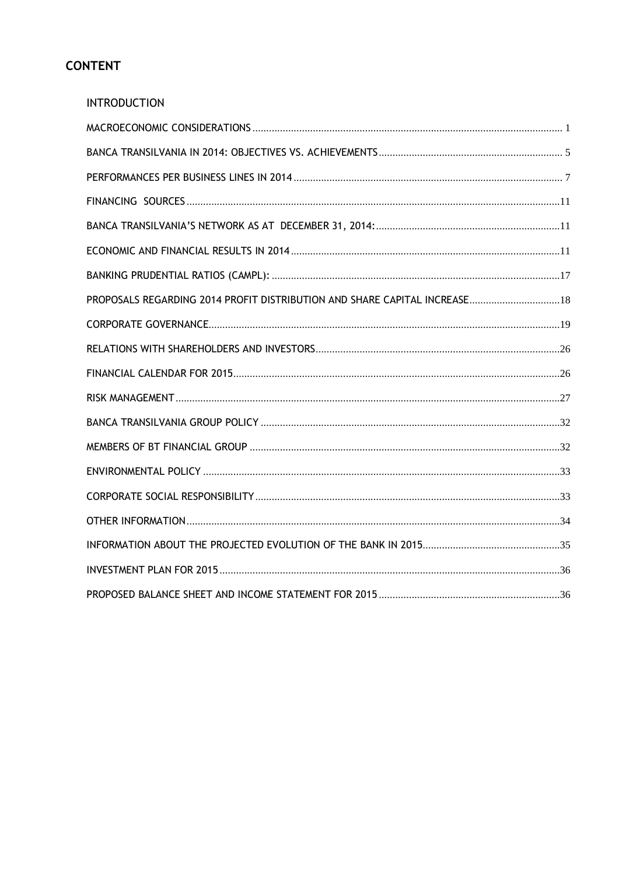# **CONTENT**

| <b>INTRODUCTION</b>                                                        |  |
|----------------------------------------------------------------------------|--|
|                                                                            |  |
|                                                                            |  |
|                                                                            |  |
|                                                                            |  |
|                                                                            |  |
|                                                                            |  |
|                                                                            |  |
| PROPOSALS REGARDING 2014 PROFIT DISTRIBUTION AND SHARE CAPITAL INCREASE 18 |  |
|                                                                            |  |
|                                                                            |  |
|                                                                            |  |
|                                                                            |  |
|                                                                            |  |
|                                                                            |  |
|                                                                            |  |
|                                                                            |  |
|                                                                            |  |
|                                                                            |  |
|                                                                            |  |
|                                                                            |  |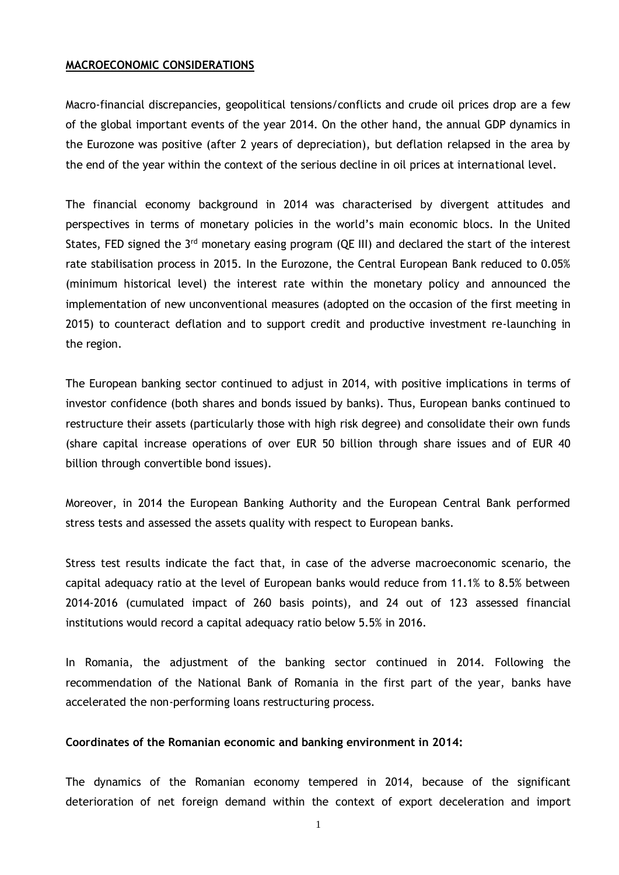#### <span id="page-2-0"></span>**MACROECONOMIC CONSIDERATIONS**

Macro-financial discrepancies, geopolitical tensions/conflicts and crude oil prices drop are a few of the global important events of the year 2014. On the other hand, the annual GDP dynamics in the Eurozone was positive (after 2 years of depreciation), but deflation relapsed in the area by the end of the year within the context of the serious decline in oil prices at international level.

The financial economy background in 2014 was characterised by divergent attitudes and perspectives in terms of monetary policies in the world's main economic blocs. In the United States, FED signed the 3<sup>rd</sup> monetary easing program (QE III) and declared the start of the interest rate stabilisation process in 2015. In the Eurozone, the Central European Bank reduced to 0.05% (minimum historical level) the interest rate within the monetary policy and announced the implementation of new unconventional measures (adopted on the occasion of the first meeting in 2015) to counteract deflation and to support credit and productive investment re-launching in the region.

The European banking sector continued to adjust in 2014, with positive implications in terms of investor confidence (both shares and bonds issued by banks). Thus, European banks continued to restructure their assets (particularly those with high risk degree) and consolidate their own funds (share capital increase operations of over EUR 50 billion through share issues and of EUR 40 billion through convertible bond issues).

Moreover, in 2014 the European Banking Authority and the European Central Bank performed stress tests and assessed the assets quality with respect to European banks.

Stress test results indicate the fact that, in case of the adverse macroeconomic scenario, the capital adequacy ratio at the level of European banks would reduce from 11.1% to 8.5% between 2014-2016 (cumulated impact of 260 basis points), and 24 out of 123 assessed financial institutions would record a capital adequacy ratio below 5.5% in 2016.

In Romania, the adjustment of the banking sector continued in 2014. Following the recommendation of the National Bank of Romania in the first part of the year, banks have accelerated the non-performing loans restructuring process.

**Coordinates of the Romanian economic and banking environment in 2014:**

The dynamics of the Romanian economy tempered in 2014, because of the significant deterioration of net foreign demand within the context of export deceleration and import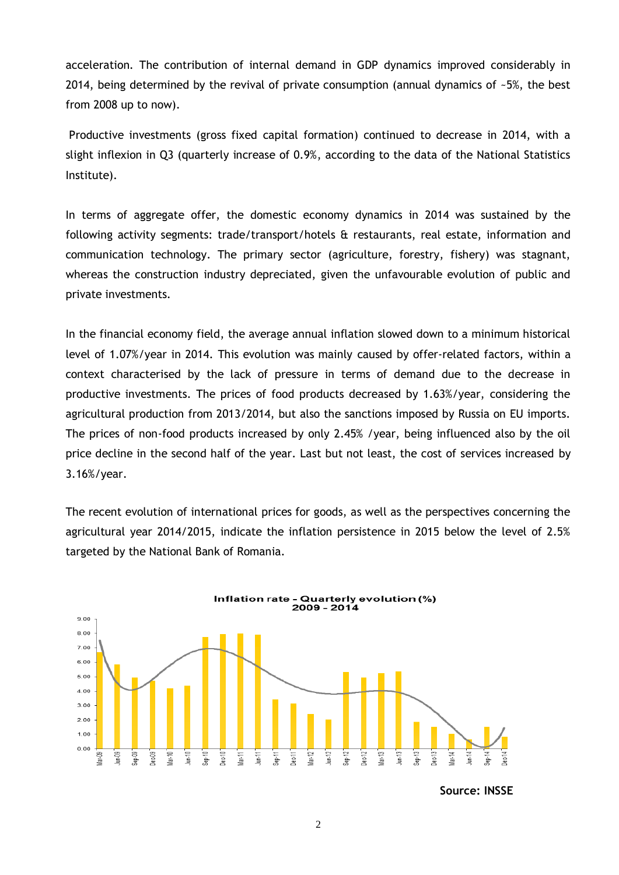acceleration. The contribution of internal demand in GDP dynamics improved considerably in 2014, being determined by the revival of private consumption (annual dynamics of  $-5\%$ , the best from 2008 up to now).

Productive investments (gross fixed capital formation) continued to decrease in 2014, with a slight inflexion in Q3 (quarterly increase of 0.9%, according to the data of the National Statistics Institute).

In terms of aggregate offer, the domestic economy dynamics in 2014 was sustained by the following activity segments: trade/transport/hotels & restaurants, real estate, information and communication technology. The primary sector (agriculture, forestry, fishery) was stagnant, whereas the construction industry depreciated, given the unfavourable evolution of public and private investments.

In the financial economy field, the average annual inflation slowed down to a minimum historical level of 1.07%/year in 2014. This evolution was mainly caused by offer-related factors, within a context characterised by the lack of pressure in terms of demand due to the decrease in productive investments. The prices of food products decreased by 1.63%/year, considering the agricultural production from 2013/2014, but also the sanctions imposed by Russia on EU imports. The prices of non-food products increased by only 2.45% /year, being influenced also by the oil price decline in the second half of the year. Last but not least, the cost of services increased by 3.16%/year.

The recent evolution of international prices for goods, as well as the perspectives concerning the agricultural year 2014/2015, indicate the inflation persistence in 2015 below the level of 2.5% targeted by the National Bank of Romania.



**Source: INSSE**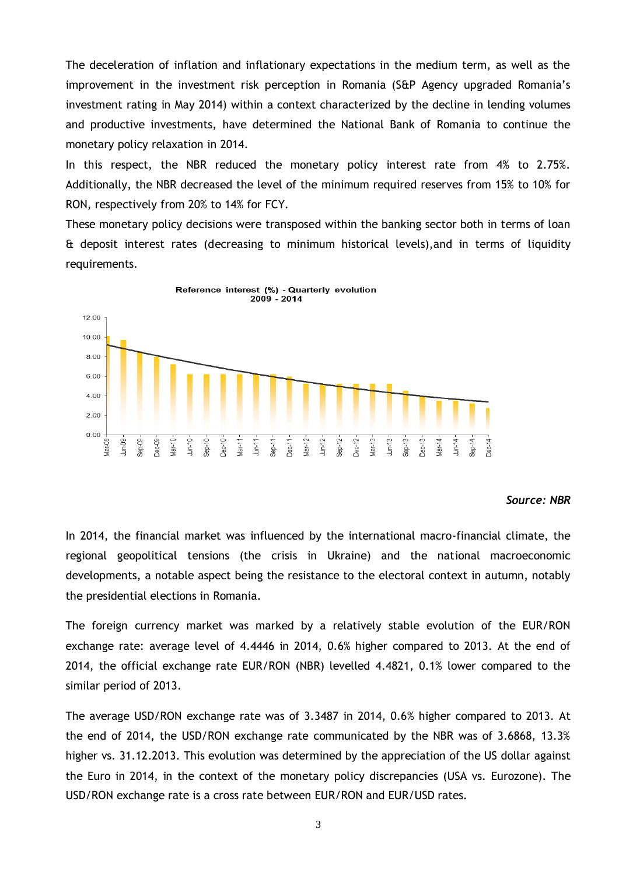The deceleration of inflation and inflationary expectations in the medium term, as well as the improvement in the investment risk perception in Romania (S&P Agency upgraded Romania's investment rating in May 2014) within a context characterized by the decline in lending volumes and productive investments, have determined the National Bank of Romania to continue the monetary policy relaxation in 2014.

In this respect, the NBR reduced the monetary policy interest rate from 4% to 2.75%. Additionally, the NBR decreased the level of the minimum required reserves from 15% to 10% for RON, respectively from 20% to 14% for FCY.

These monetary policy decisions were transposed within the banking sector both in terms of loan & deposit interest rates (decreasing to minimum historical levels),and in terms of liquidity requirements.



#### *Source: NBR*

In 2014, the financial market was influenced by the international macro-financial climate, the regional geopolitical tensions (the crisis in Ukraine) and the national macroeconomic developments, a notable aspect being the resistance to the electoral context in autumn, notably the presidential elections in Romania.

The foreign currency market was marked by a relatively stable evolution of the EUR/RON exchange rate: average level of 4.4446 in 2014, 0.6% higher compared to 2013. At the end of 2014, the official exchange rate EUR/RON (NBR) levelled 4.4821, 0.1% lower compared to the similar period of 2013.

The average USD/RON exchange rate was of 3.3487 in 2014, 0.6% higher compared to 2013. At the end of 2014, the USD/RON exchange rate communicated by the NBR was of 3.6868, 13.3% higher vs. 31.12.2013. This evolution was determined by the appreciation of the US dollar against the Euro in 2014, in the context of the monetary policy discrepancies (USA vs. Eurozone). The USD/RON exchange rate is a cross rate between EUR/RON and EUR/USD rates.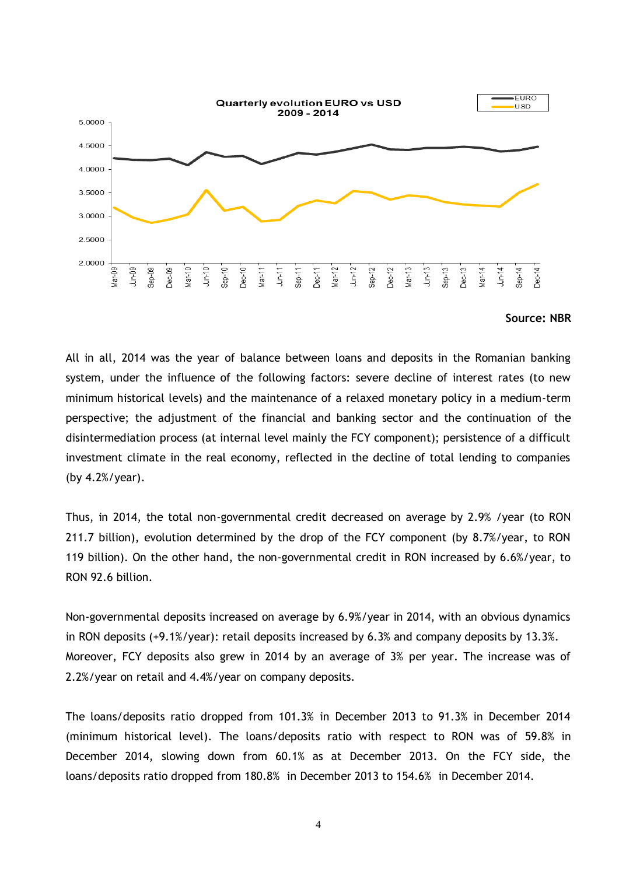

#### **Source: NBR**

All in all, 2014 was the year of balance between loans and deposits in the Romanian banking system, under the influence of the following factors: severe decline of interest rates (to new minimum historical levels) and the maintenance of a relaxed monetary policy in a medium-term perspective; the adjustment of the financial and banking sector and the continuation of the disintermediation process (at internal level mainly the FCY component); persistence of a difficult investment climate in the real economy, reflected in the decline of total lending to companies (by 4.2%/year).

Thus, in 2014, the total non-governmental credit decreased on average by 2.9% /year (to RON 211.7 billion), evolution determined by the drop of the FCY component (by 8.7%/year, to RON 119 billion). On the other hand, the non-governmental credit in RON increased by 6.6%/year, to RON 92.6 billion.

Non-governmental deposits increased on average by 6.9%/year in 2014, with an obvious dynamics in RON deposits (+9.1%/year): retail deposits increased by 6.3% and company deposits by 13.3%. Moreover, FCY deposits also grew in 2014 by an average of 3% per year. The increase was of 2.2%/year on retail and 4.4%/year on company deposits.

The loans/deposits ratio dropped from 101.3% in December 2013 to 91.3% in December 2014 (minimum historical level). The loans/deposits ratio with respect to RON was of 59.8% in December 2014, slowing down from 60.1% as at December 2013. On the FCY side, the loans/deposits ratio dropped from 180.8% in December 2013 to 154.6% in December 2014.

4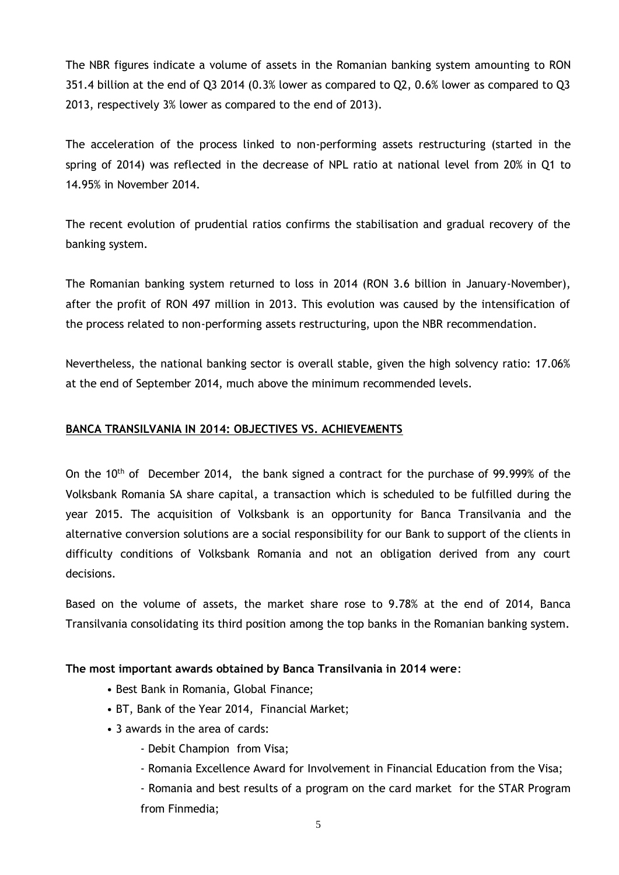The NBR figures indicate a volume of assets in the Romanian banking system amounting to RON 351.4 billion at the end of Q3 2014 (0.3% lower as compared to Q2, 0.6% lower as compared to Q3 2013, respectively 3% lower as compared to the end of 2013).

The acceleration of the process linked to non-performing assets restructuring (started in the spring of 2014) was reflected in the decrease of NPL ratio at national level from 20% in Q1 to 14.95% in November 2014.

The recent evolution of prudential ratios confirms the stabilisation and gradual recovery of the banking system.

The Romanian banking system returned to loss in 2014 (RON 3.6 billion in January-November), after the profit of RON 497 million in 2013. This evolution was caused by the intensification of the process related to non-performing assets restructuring, upon the NBR recommendation.

Nevertheless, the national banking sector is overall stable, given the high solvency ratio: 17.06% at the end of September 2014, much above the minimum recommended levels.

## <span id="page-6-0"></span>**BANCA TRANSILVANIA IN 2014: OBJECTIVES VS. ACHIEVEMENTS**

On the  $10<sup>th</sup>$  of December 2014, the bank signed a contract for the purchase of 99.999% of the Volksbank Romania SA share capital, a transaction which is scheduled to be fulfilled during the year 2015. The acquisition of Volksbank is an opportunity for Banca Transilvania and the alternative conversion solutions are a social responsibility for our Bank to support of the clients in difficulty conditions of Volksbank Romania and not an obligation derived from any court decisions.

Based on the volume of assets, the market share rose to 9.78% at the end of 2014, Banca Transilvania consolidating its third position among the top banks in the Romanian banking system.

# **The most important awards obtained by Banca Transilvania in 2014 were**:

- Best Bank in Romania, Global Finance;
- BT, Bank of the Year 2014, Financial Market;
- 3 awards in the area of cards:
	- Debit Champion from Visa;
	- Romania Excellence Award for Involvement in Financial Education from the Visa;
	- Romania and best results of a program on the card market for the STAR Program from Finmedia;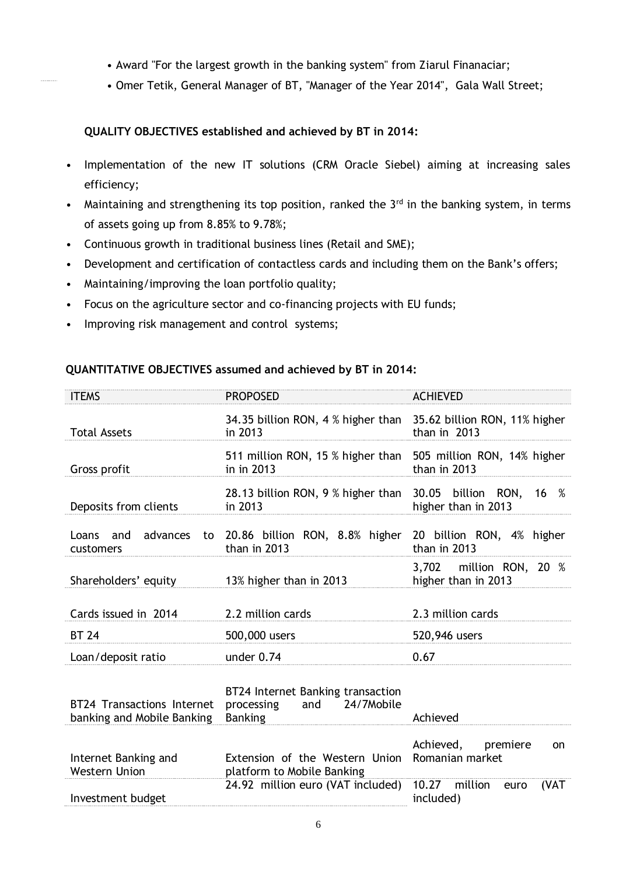- Award "For the largest growth in the banking system" from Ziarul Finanaciar;
- Omer Tetik, General Manager of BT, "Manager of the Year 2014", Gala Wall Street;

# **QUALITY OBJECTIVES established and achieved by BT in 2014:**

- Implementation of the new IT solutions (CRM Oracle Siebel) aiming at increasing sales efficiency;
- Maintaining and strengthening its top position, ranked the  $3<sup>rd</sup>$  in the banking system, in terms of assets going up from 8.85% to 9.78%;
- Continuous growth in traditional business lines (Retail and SME);
- Development and certification of contactless cards and including them on the Bank's offers;
- Maintaining/improving the loan portfolio quality;
- Focus on the agriculture sector and co-financing projects with EU funds;
- Improving risk management and control systems;

#### **QUANTITATIVE OBJECTIVES assumed and achieved by BT in 2014:**

| <b>ITEMS</b>                                                    | <b>PROPOSED</b>                                                                      | <b>ACHIEVED</b>                                |
|-----------------------------------------------------------------|--------------------------------------------------------------------------------------|------------------------------------------------|
| <b>Total Assets</b>                                             | 34.35 billion RON, 4 % higher than 35.62 billion RON, 11% higher<br>in 2013          | than in $2013$                                 |
| Gross profit                                                    | 511 million RON, 15 % higher than 505 million RON, 14% higher<br>in in 2013          | than in 2013                                   |
| Deposits from clients                                           | 28.13 billion RON, 9 % higher than 30.05 billion RON, 16 %<br>in 2013                | higher than in 2013                            |
| Loans<br>and<br>customers                                       | advances to 20.86 billion RON, 8.8% higher 20 billion RON, 4% higher<br>than in 2013 | than in 2013                                   |
| Shareholders' equity                                            | 13% higher than in 2013                                                              | 3,702 million RON, 20 %<br>higher than in 2013 |
|                                                                 |                                                                                      |                                                |
| Cards issued in 2014                                            | 2.2 million cards                                                                    | 2.3 million cards                              |
| <b>BT 24</b>                                                    | 500,000 users                                                                        | 520,946 users                                  |
| Loan/deposit ratio                                              | under $0.74$                                                                         | 0.67                                           |
| <b>BT24 Transactions Internet</b><br>banking and Mobile Banking | BT24 Internet Banking transaction<br>processing and 24/7Mobile<br><b>Banking</b>     | Achieved                                       |
| Internet Banking and<br><b>Western Union</b>                    | Extension of the Western Union<br>platform to Mobile Banking                         | Achieved, premiere<br>on<br>Romanian market    |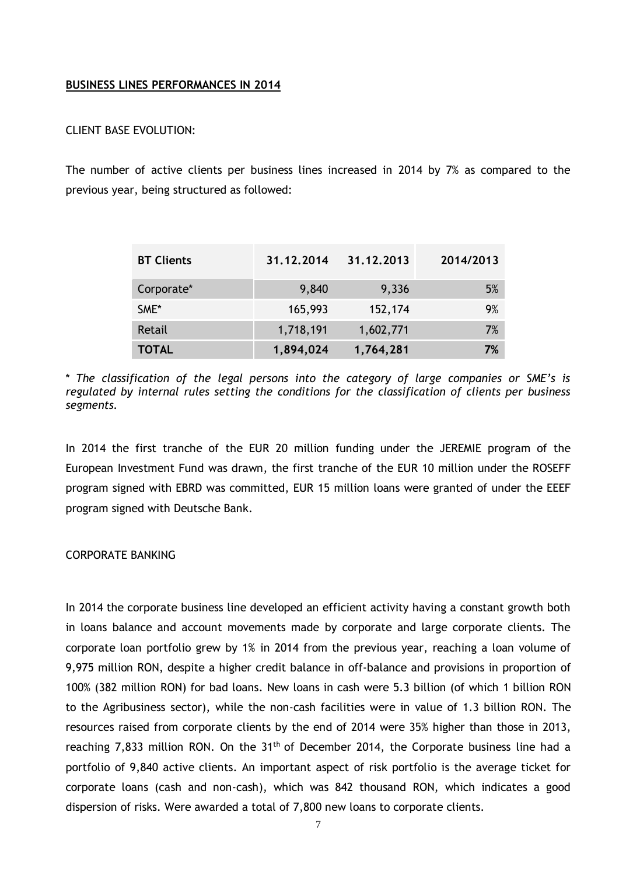#### <span id="page-8-0"></span>**BUSINESS LINES PERFORMANCES IN 2014**

#### CLIENT BASE EVOLUTION:

The number of active clients per business lines increased in 2014 by 7% as compared to the previous year, being structured as followed:

| <b>BT Clients</b> | 31.12.2014 | 31.12.2013 | 2014/2013 |
|-------------------|------------|------------|-----------|
| Corporate*        | 9,840      | 9,336      | 5%        |
| SME*              | 165,993    | 152,174    | 9%        |
| Retail            | 1,718,191  | 1,602,771  | 7%        |
| <b>TOTAL</b>      | 1,894,024  | 1,764,281  | 7%        |

\* *The classification of the legal persons into the category of large companies or SME's is regulated by internal rules setting the conditions for the classification of clients per business segments.*

In 2014 the first tranche of the EUR 20 million funding under the JEREMIE program of the European Investment Fund was drawn, the first tranche of the EUR 10 million under the ROSEFF program signed with EBRD was committed, EUR 15 million loans were granted of under the EEEF program signed with Deutsche Bank.

#### CORPORATE BANKING

In 2014 the corporate business line developed an efficient activity having a constant growth both in loans balance and account movements made by corporate and large corporate clients. The corporate loan portfolio grew by 1% in 2014 from the previous year, reaching a loan volume of 9,975 million RON, despite a higher credit balance in off-balance and provisions in proportion of 100% (382 million RON) for bad loans. New loans in cash were 5.3 billion (of which 1 billion RON to the Agribusiness sector), while the non-cash facilities were in value of 1.3 billion RON. The resources raised from corporate clients by the end of 2014 were 35% higher than those in 2013, reaching 7,833 million RON. On the  $31<sup>th</sup>$  of December 2014, the Corporate business line had a portfolio of 9,840 active clients. An important aspect of risk portfolio is the average ticket for corporate loans (cash and non-cash), which was 842 thousand RON, which indicates a good dispersion of risks. Were awarded a total of 7,800 new loans to corporate clients.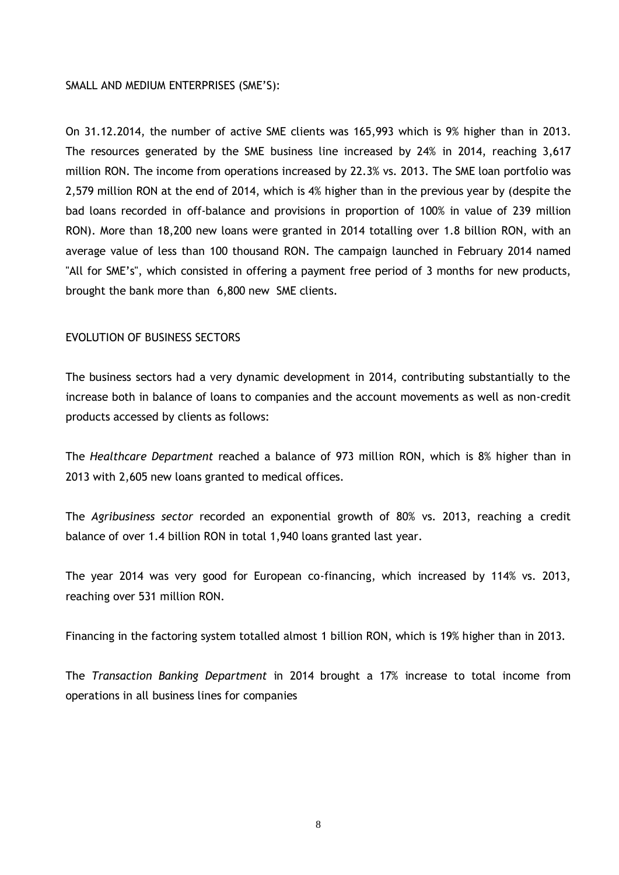#### SMALL AND MEDIUM ENTERPRISES (SME'S):

On 31.12.2014, the number of active SME clients was 165,993 which is 9% higher than in 2013. The resources generated by the SME business line increased by 24% in 2014, reaching 3,617 million RON. The income from operations increased by 22.3% vs. 2013. The SME loan portfolio was 2,579 million RON at the end of 2014, which is 4% higher than in the previous year by (despite the bad loans recorded in off-balance and provisions in proportion of 100% in value of 239 million RON). More than 18,200 new loans were granted in 2014 totalling over 1.8 billion RON, with an average value of less than 100 thousand RON. The campaign launched in February 2014 named "All for SME's", which consisted in offering a payment free period of 3 months for new products, brought the bank more than 6,800 new SME clients.

### EVOLUTION OF BUSINESS SECTORS

The business sectors had a very dynamic development in 2014, contributing substantially to the increase both in balance of loans to companies and the account movements as well as non-credit products accessed by clients as follows:

The *Healthcare Department* reached a balance of 973 million RON, which is 8% higher than in 2013 with 2,605 new loans granted to medical offices.

The *Agribusiness sector* recorded an exponential growth of 80% vs. 2013, reaching a credit balance of over 1.4 billion RON in total 1,940 loans granted last year.

The year 2014 was very good for European co-financing, which increased by 114% vs. 2013, reaching over 531 million RON.

Financing in the factoring system totalled almost 1 billion RON, which is 19% higher than in 2013.

The *Transaction Banking Department* in 2014 brought a 17% increase to total income from operations in all business lines for companies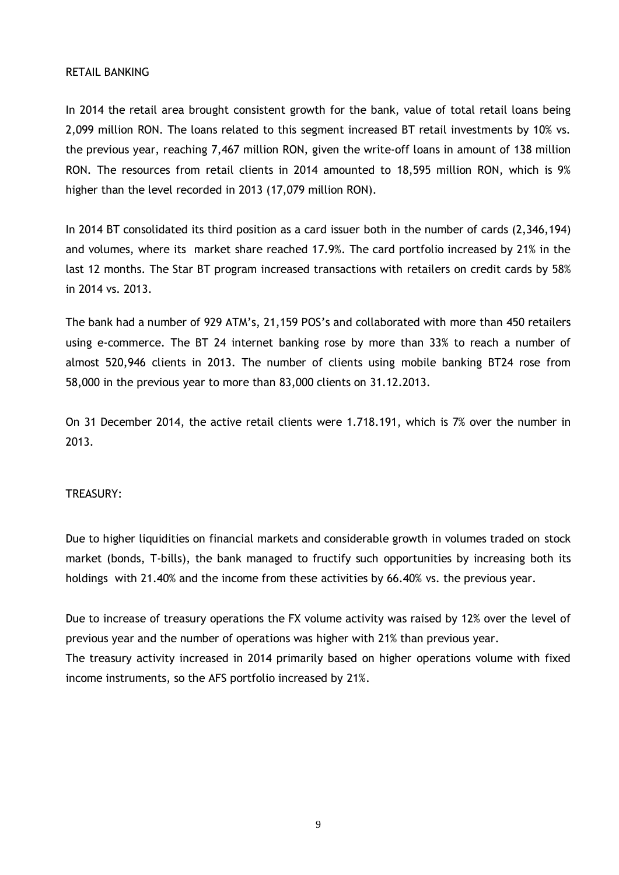#### RETAIL BANKING

In 2014 the retail area brought consistent growth for the bank, value of total retail loans being 2,099 million RON. The loans related to this segment increased BT retail investments by 10% vs. the previous year, reaching 7,467 million RON, given the write-off loans in amount of 138 million RON. The resources from retail clients in 2014 amounted to 18,595 million RON, which is 9% higher than the level recorded in 2013 (17,079 million RON).

In 2014 BT consolidated its third position as a card issuer both in the number of cards (2,346,194) and volumes, where its market share reached 17.9%. The card portfolio increased by 21% in the last 12 months. The Star BT program increased transactions with retailers on credit cards by 58% in 2014 vs. 2013.

The bank had a number of 929 ATM's, 21,159 POS's and collaborated with more than 450 retailers using e-commerce. The BT 24 internet banking rose by more than 33% to reach a number of almost 520,946 clients in 2013. The number of clients using mobile banking BT24 rose from 58,000 in the previous year to more than 83,000 clients on 31.12.2013.

On 31 December 2014, the active retail clients were 1.718.191, which is 7% over the number in 2013.

#### TREASURY:

Due to higher liquidities on financial markets and considerable growth in volumes traded on stock market (bonds, T-bills), the bank managed to fructify such opportunities by increasing both its holdings with 21.40% and the income from these activities by 66.40% vs. the previous year.

Due to increase of treasury operations the FX volume activity was raised by 12% over the level of previous year and the number of operations was higher with 21% than previous year. The treasury activity increased in 2014 primarily based on higher operations volume with fixed income instruments, so the AFS portfolio increased by 21%.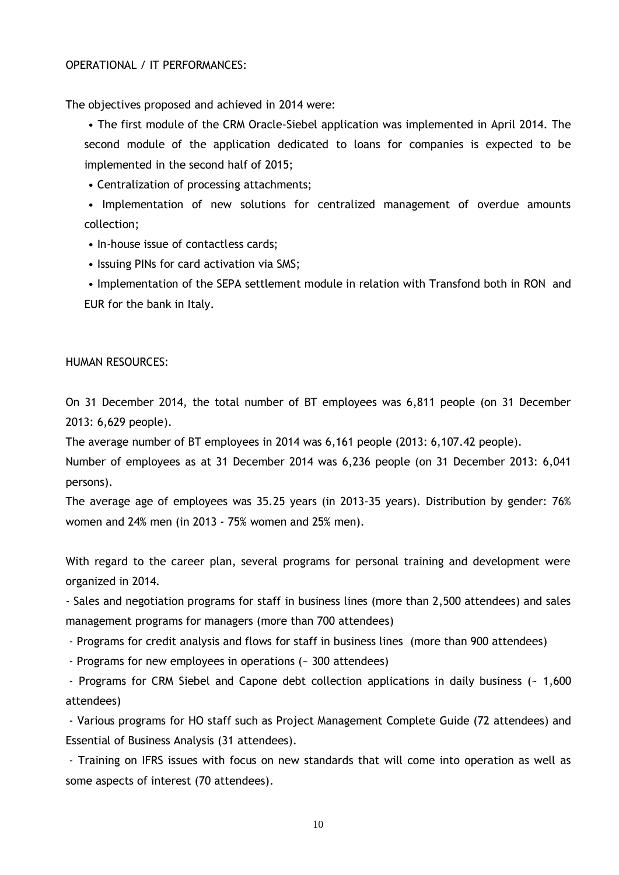#### OPERATIONAL / IT PERFORMANCES:

The objectives proposed and achieved in 2014 were:

• The first module of the CRM Oracle-Siebel application was implemented in April 2014. The second module of the application dedicated to loans for companies is expected to be implemented in the second half of 2015;

• Centralization of processing attachments;

• Implementation of new solutions for centralized management of overdue amounts collection;

- In-house issue of contactless cards;
- Issuing PINs for card activation via SMS;

• Implementation of the SEPA settlement module in relation with Transfond both in RON and EUR for the bank in Italy.

#### HUMAN RESOURCES:

On 31 December 2014, the total number of BT employees was 6,811 people (on 31 December 2013: 6,629 people).

The average number of BT employees in 2014 was 6,161 people (2013: 6,107.42 people).

Number of employees as at 31 December 2014 was 6,236 people (on 31 December 2013: 6,041 persons).

The average age of employees was 35.25 years (in 2013-35 years). Distribution by gender: 76% women and 24% men (in 2013 - 75% women and 25% men).

With regard to the career plan, several programs for personal training and development were organized in 2014.

- Sales and negotiation programs for staff in business lines (more than 2,500 attendees) and sales management programs for managers (more than 700 attendees)

- Programs for credit analysis and flows for staff in business lines (more than 900 attendees)

- Programs for new employees in operations (~ 300 attendees)

- Programs for CRM Siebel and Capone debt collection applications in daily business (~ 1,600 attendees)

- Various programs for HO staff such as Project Management Complete Guide (72 attendees) and Essential of Business Analysis (31 attendees).

- Training on IFRS issues with focus on new standards that will come into operation as well as some aspects of interest (70 attendees).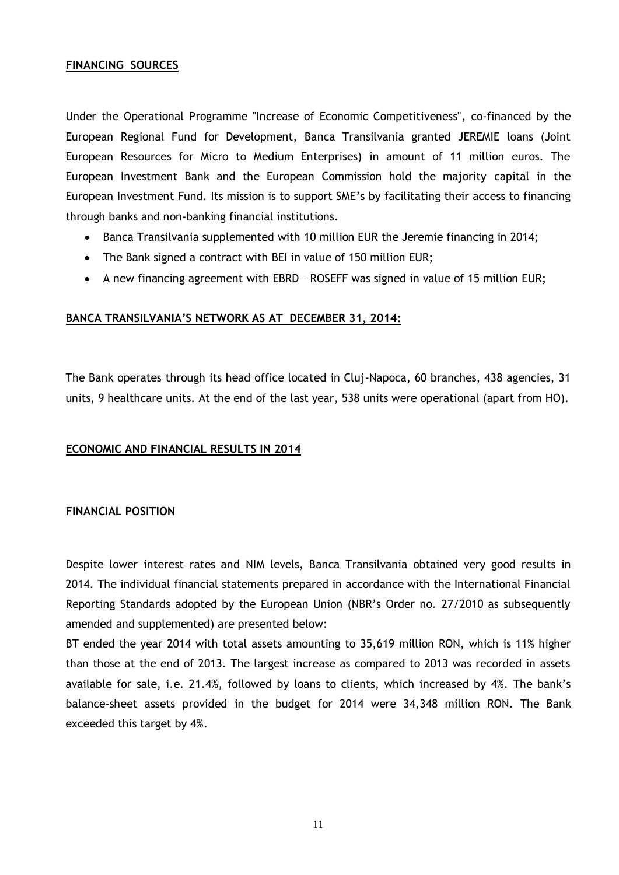## <span id="page-12-0"></span>**FINANCING SOURCES**

Under the Operational Programme "Increase of Economic Competitiveness", co-financed by the European Regional Fund for Development, Banca Transilvania granted JEREMIE loans (Joint European Resources for Micro to Medium Enterprises) in amount of 11 million euros. The European Investment Bank and the European Commission hold the majority capital in the European Investment Fund. Its mission is to support SME's by facilitating their access to financing through banks and non-banking financial institutions.

- Banca Transilvania supplemented with 10 million EUR the Jeremie financing in 2014;
- The Bank signed a contract with BEI in value of 150 million EUR;
- A new financing agreement with EBRD ROSEFF was signed in value of 15 million EUR;

#### <span id="page-12-1"></span>**BANCA TRANSILVANIA'S NETWORK AS AT DECEMBER 31, 2014:**

The Bank operates through its head office located in Cluj-Napoca, 60 branches, 438 agencies, 31 units, 9 healthcare units. At the end of the last year, 538 units were operational (apart from HO).

#### <span id="page-12-2"></span>**ECONOMIC AND FINANCIAL RESULTS IN 2014**

#### **FINANCIAL POSITION**

Despite lower interest rates and NIM levels, Banca Transilvania obtained very good results in 2014. The individual financial statements prepared in accordance with the International Financial Reporting Standards adopted by the European Union (NBR's Order no. 27/2010 as subsequently amended and supplemented) are presented below:

BT ended the year 2014 with total assets amounting to 35,619 million RON, which is 11% higher than those at the end of 2013. The largest increase as compared to 2013 was recorded in assets available for sale, i.e. 21.4%, followed by loans to clients, which increased by 4%. The bank's balance-sheet assets provided in the budget for 2014 were 34,348 million RON. The Bank exceeded this target by 4%.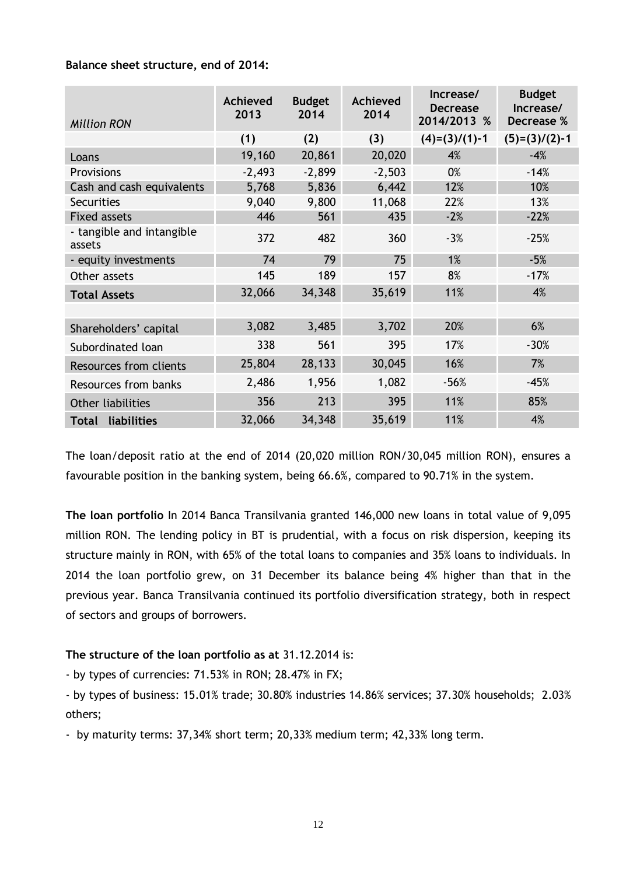### **Balance sheet structure, end of 2014:**

| <b>Million RON</b>                  | Achieved<br>2013 | <b>Budget</b><br>2014 | Achieved<br>2014 | Increase/<br><b>Decrease</b><br>2014/2013 % | <b>Budget</b><br>Increase/<br>Decrease % |
|-------------------------------------|------------------|-----------------------|------------------|---------------------------------------------|------------------------------------------|
|                                     | (1)              | (2)                   | (3)              | $(4)=(3)/(1)-1$                             | $(5)=(3)/(2)-1$                          |
| Loans                               | 19,160           | 20,861                | 20,020           | 4%                                          | $-4%$                                    |
| Provisions                          | $-2,493$         | $-2,899$              | $-2,503$         | 0%                                          | $-14%$                                   |
| Cash and cash equivalents           | 5,768            | 5,836                 | 6,442            | 12%                                         | 10%                                      |
| <b>Securities</b>                   | 9,040            | 9,800                 | 11,068           | 22%                                         | 13%                                      |
| <b>Fixed assets</b>                 | 446              | 561                   | 435              | $-2%$                                       | $-22%$                                   |
| - tangible and intangible<br>assets | 372              | 482                   | 360              | $-3%$                                       | $-25%$                                   |
| - equity investments                | 74               | 79                    | 75               | 1%                                          | $-5%$                                    |
| Other assets                        | 145              | 189                   | 157              | 8%                                          | $-17%$                                   |
| <b>Total Assets</b>                 | 32,066           | 34,348                | 35,619           | 11%                                         | 4%                                       |
|                                     |                  |                       |                  |                                             |                                          |
| Shareholders' capital               | 3,082            | 3,485                 | 3,702            | 20%                                         | 6%                                       |
| Subordinated loan                   | 338              | 561                   | 395              | 17%                                         | $-30%$                                   |
| Resources from clients              | 25,804           | 28,133                | 30,045           | 16%                                         | 7%                                       |
| Resources from banks                | 2,486            | 1,956                 | 1,082            | $-56%$                                      | $-45%$                                   |
| Other liabilities                   | 356              | 213                   | 395              | 11%                                         | 85%                                      |
| <b>Total liabilities</b>            | 32,066           | 34,348                | 35,619           | 11%                                         | 4%                                       |

The loan/deposit ratio at the end of 2014 (20,020 million RON/30,045 million RON), ensures a favourable position in the banking system, being 66.6%, compared to 90.71% in the system.

**The loan portfolio** In 2014 Banca Transilvania granted 146,000 new loans in total value of 9,095 million RON. The lending policy in BT is prudential, with a focus on risk dispersion, keeping its structure mainly in RON, with 65% of the total loans to companies and 35% loans to individuals. In 2014 the loan portfolio grew, on 31 December its balance being 4% higher than that in the previous year. Banca Transilvania continued its portfolio diversification strategy, both in respect of sectors and groups of borrowers.

# **The structure of the loan portfolio as at** 31.12.2014 is:

- by types of currencies: 71.53% in RON; 28.47% in FX;

- by types of business: 15.01% trade; 30.80% industries 14.86% services; 37.30% households; 2.03% others;

- by maturity terms: 37,34% short term; 20,33% medium term; 42,33% long term.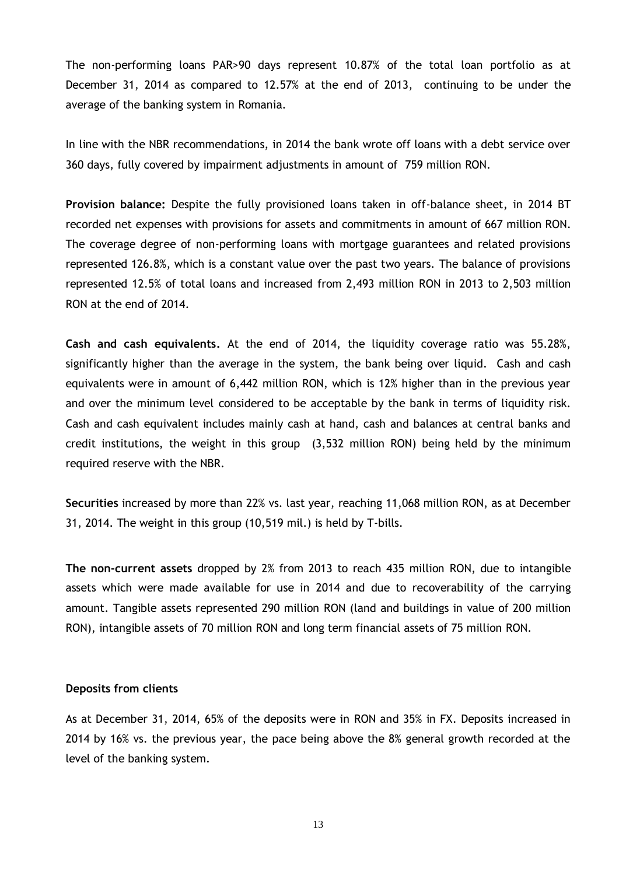The non-performing loans PAR>90 days represent 10.87% of the total loan portfolio as at December 31, 2014 as compared to 12.57% at the end of 2013, continuing to be under the average of the banking system in Romania.

In line with the NBR recommendations, in 2014 the bank wrote off loans with a debt service over 360 days, fully covered by impairment adjustments in amount of 759 million RON.

**Provision balance:** Despite the fully provisioned loans taken in off-balance sheet, in 2014 BT recorded net expenses with provisions for assets and commitments in amount of 667 million RON. The coverage degree of non-performing loans with mortgage guarantees and related provisions represented 126.8%, which is a constant value over the past two years. The balance of provisions represented 12.5% of total loans and increased from 2,493 million RON in 2013 to 2,503 million RON at the end of 2014.

**Cash and cash equivalents.** At the end of 2014, the liquidity coverage ratio was 55.28%, significantly higher than the average in the system, the bank being over liquid. Cash and cash equivalents were in amount of 6,442 million RON, which is 12% higher than in the previous year and over the minimum level considered to be acceptable by the bank in terms of liquidity risk. Cash and cash equivalent includes mainly cash at hand, cash and balances at central banks and credit institutions, the weight in this group (3,532 million RON) being held by the minimum required reserve with the NBR.

**Securities** increased by more than 22% vs. last year, reaching 11,068 million RON, as at December 31, 2014. The weight in this group (10,519 mil.) is held by T-bills.

**The non-current assets** dropped by 2% from 2013 to reach 435 million RON, due to intangible assets which were made available for use in 2014 and due to recoverability of the carrying amount. Tangible assets represented 290 million RON (land and buildings in value of 200 million RON), intangible assets of 70 million RON and long term financial assets of 75 million RON.

#### **Deposits from clients**

As at December 31, 2014, 65% of the deposits were in RON and 35% in FX. Deposits increased in 2014 by 16% vs. the previous year, the pace being above the 8% general growth recorded at the level of the banking system.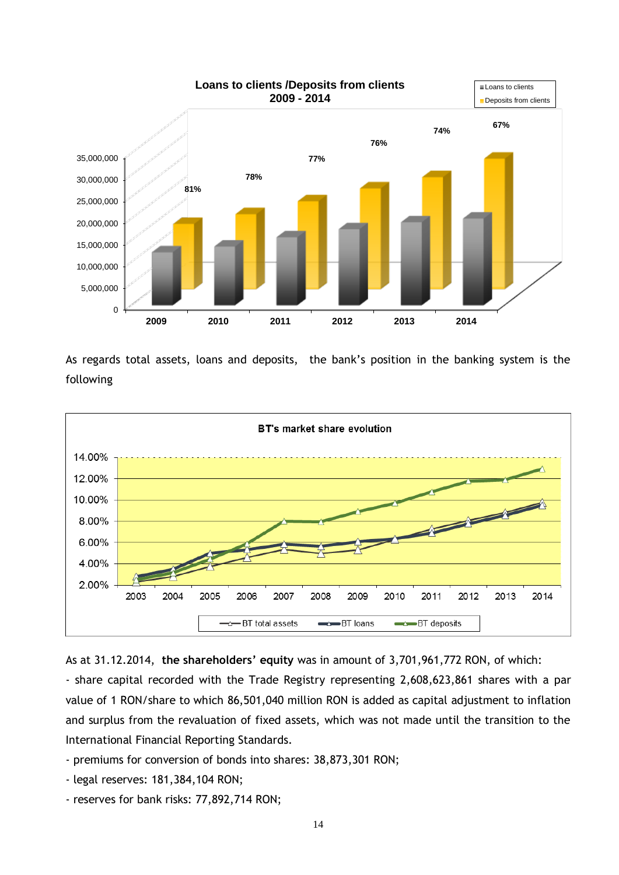

**Loans to clients /Deposits from clients** 

Loans to clients

As regards total assets, loans and deposits, the bank's position in the banking system is the following





- share capital recorded with the Trade Registry representing 2,608,623,861 shares with a par value of 1 RON/share to which 86,501,040 million RON is added as capital adjustment to inflation and surplus from the revaluation of fixed assets, which was not made until the transition to the International Financial Reporting Standards.

- premiums for conversion of bonds into shares: 38,873,301 RON;
- legal reserves: 181,384,104 RON;
- reserves for bank risks: 77,892,714 RON;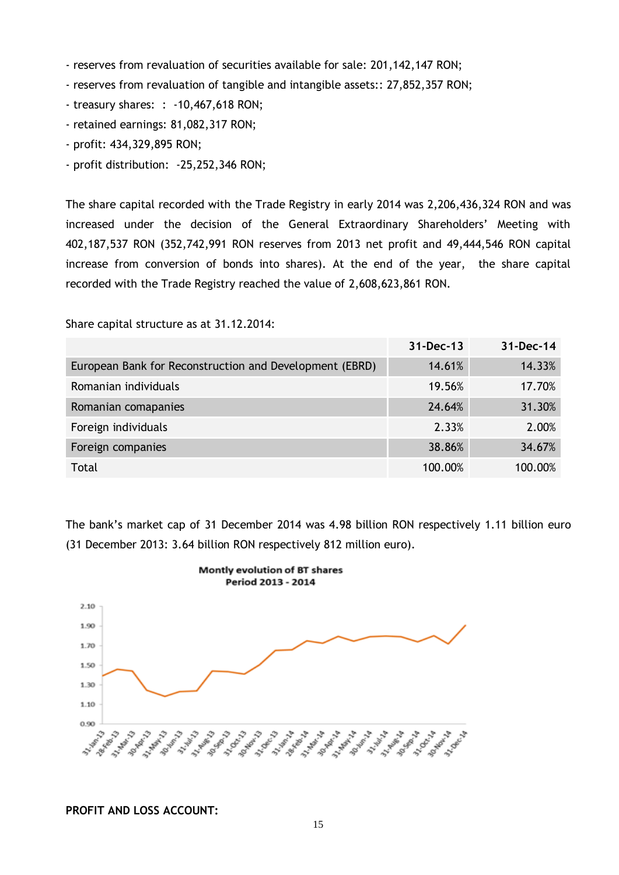- reserves from revaluation of securities available for sale: 201,142,147 RON;

- reserves from revaluation of tangible and intangible assets:: 27,852,357 RON;

- treasury shares: : -10,467,618 RON;

- retained earnings: 81,082,317 RON;
- profit: 434,329,895 RON;
- profit distribution: -25,252,346 RON;

The share capital recorded with the Trade Registry in early 2014 was 2,206,436,324 RON and was increased under the decision of the General Extraordinary Shareholders' Meeting with 402,187,537 RON (352,742,991 RON reserves from 2013 net profit and 49,444,546 RON capital increase from conversion of bonds into shares). At the end of the year, the share capital recorded with the Trade Registry reached the value of 2,608,623,861 RON.

Share capital structure as at 31.12.2014:

|                                                         | 31-Dec-13 | 31-Dec-14 |
|---------------------------------------------------------|-----------|-----------|
| European Bank for Reconstruction and Development (EBRD) | 14.61%    | 14.33%    |
| Romanian individuals                                    | 19.56%    | 17.70%    |
| Romanian comapanies                                     | 24.64%    | 31.30%    |
| Foreign individuals                                     | 2.33%     | 2.00%     |
| Foreign companies                                       | 38.86%    | 34.67%    |
| Total                                                   | 100.00%   | 100.00%   |

The bank's market cap of 31 December 2014 was 4.98 billion RON respectively 1.11 billion euro (31 December 2013: 3.64 billion RON respectively 812 million euro).



**Montly evolution of BT shares** 

#### **PROFIT AND LOSS ACCOUNT:**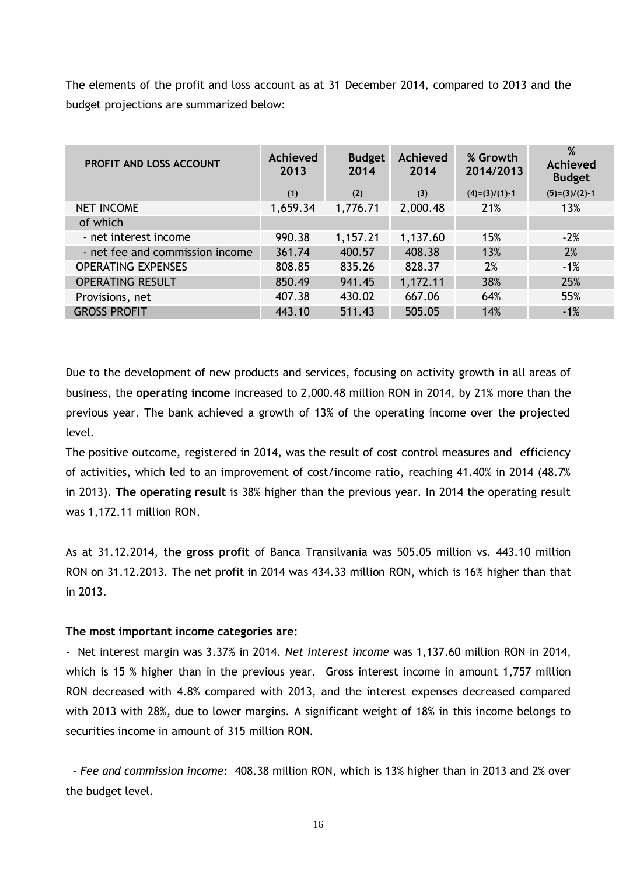The elements of the profit and loss account as at 31 December 2014, compared to 2013 and the budget projections are summarized below:

| <b>PROFIT AND LOSS ACCOUNT</b>  | Achieved<br>2013<br>(1) | <b>Budget</b><br>2014<br>(2) | <b>Achieved</b><br>2014<br>(3) | % Growth<br>2014/2013<br>$(4)=(3)/(1)-1$ | %<br><b>Achieved</b><br><b>Budget</b><br>$(5)=(3)/(2)-1$ |
|---------------------------------|-------------------------|------------------------------|--------------------------------|------------------------------------------|----------------------------------------------------------|
| <b>NET INCOME</b>               | 1,659.34                | 1,776.71                     | 2,000.48                       | 21%                                      | 13%                                                      |
| of which                        |                         |                              |                                |                                          |                                                          |
| - net interest income           | 990.38                  | 1,157.21                     | 1,137.60                       | 15%                                      | $-2%$                                                    |
| - net fee and commission income | 361.74                  | 400.57                       | 408.38                         | 13%                                      | 2%                                                       |
| <b>OPERATING EXPENSES</b>       | 808.85                  | 835.26                       | 828.37                         | 2%                                       | $-1%$                                                    |
| <b>OPERATING RESULT</b>         | 850.49                  | 941.45                       | 1,172.11                       | 38%                                      | 25%                                                      |
| Provisions, net                 | 407.38                  | 430.02                       | 667.06                         | 64%                                      | 55%                                                      |
| <b>GROSS PROFIT</b>             | 443.10                  | 511.43                       | 505.05                         | 14%                                      | $-1%$                                                    |

Due to the development of new products and services, focusing on activity growth in all areas of business, the **operating income** increased to 2,000.48 million RON in 2014, by 21% more than the previous year. The bank achieved a growth of 13% of the operating income over the projected level.

The positive outcome, registered in 2014, was the result of cost control measures and efficiency of activities, which led to an improvement of cost/income ratio, reaching 41.40% in 2014 (48.7% in 2013). **The operating result** is 38% higher than the previous year. In 2014 the operating result was 1,172.11 million RON.

As at 31.12.2014, t**he gross profit** of Banca Transilvania was 505.05 million vs. 443.10 million RON on 31.12.2013. The net profit in 2014 was 434.33 million RON, which is 16% higher than that in 2013.

#### **The most important income categories are:**

- Net interest margin was 3.37% in 2014. *Net interest income* was 1,137.60 million RON in 2014, which is 15 % higher than in the previous year. Gross interest income in amount 1,757 million RON decreased with 4.8% compared with 2013, and the interest expenses decreased compared with 2013 with 28%, due to lower margins. A significant weight of 18% in this income belongs to securities income in amount of 315 million RON.

 *- Fee and commission income:* 408.38 million RON, which is 13% higher than in 2013 and 2% over the budget level.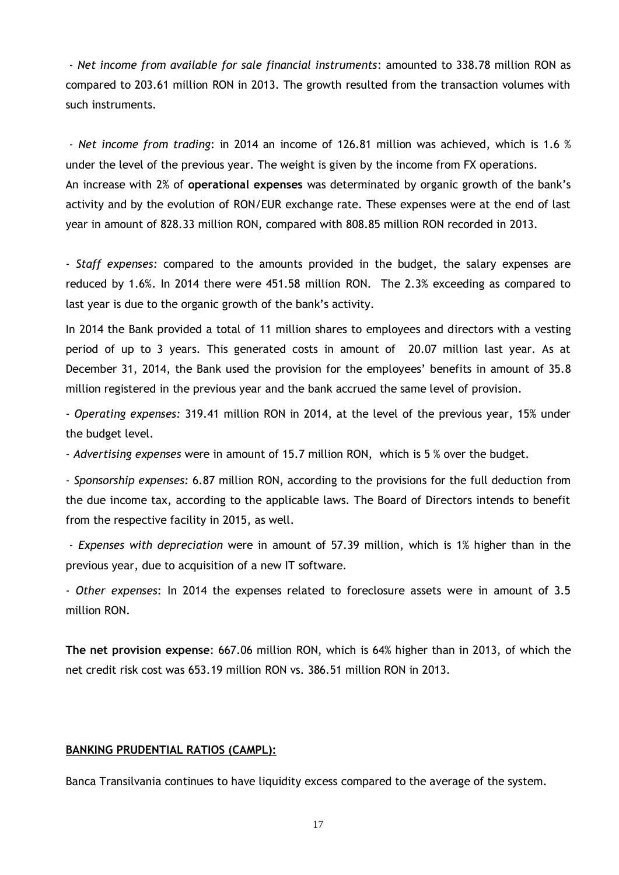*- Net income from available for sale financial instruments*: amounted to 338.78 million RON as compared to 203.61 million RON in 2013. The growth resulted from the transaction volumes with such instruments.

*- Net income from trading*: in 2014 an income of 126.81 million was achieved, which is 1.6 % under the level of the previous year. The weight is given by the income from FX operations. An increase with 2% of **operational expenses** was determinated by organic growth of the bank's activity and by the evolution of RON/EUR exchange rate. These expenses were at the end of last year in amount of 828.33 million RON, compared with 808.85 million RON recorded in 2013.

- *Staff expenses:* compared to the amounts provided in the budget, the salary expenses are reduced by 1.6%. In 2014 there were 451.58 million RON. The 2.3% exceeding as compared to last year is due to the organic growth of the bank's activity.

In 2014 the Bank provided a total of 11 million shares to employees and directors with a vesting period of up to 3 years. This generated costs in amount of 20.07 million last year. As at December 31, 2014, the Bank used the provision for the employees' benefits in amount of 35.8 million registered in the previous year and the bank accrued the same level of provision.

*- Operating expenses:* 319.41 million RON in 2014, at the level of the previous year, 15% under the budget level.

- *Advertising expenses* were in amount of 15.7 million RON, which is 5 % over the budget.

*- Sponsorship expenses:* 6.87 million RON, according to the provisions for the full deduction from the due income tax, according to the applicable laws. The Board of Directors intends to benefit from the respective facility in 2015, as well.

*- Expenses with depreciation* were in amount of 57.39 million, which is 1% higher than in the previous year, due to acquisition of a new IT software.

*- Other expenses*: In 2014 the expenses related to foreclosure assets were in amount of 3.5 million RON.

**The net provision expense**: 667.06 million RON, which is 64% higher than in 2013, of which the net credit risk cost was 653.19 million RON vs. 386.51 million RON in 2013.

#### <span id="page-18-0"></span>**BANKING PRUDENTIAL RATIOS (CAMPL):**

Banca Transilvania continues to have liquidity excess compared to the average of the system.

17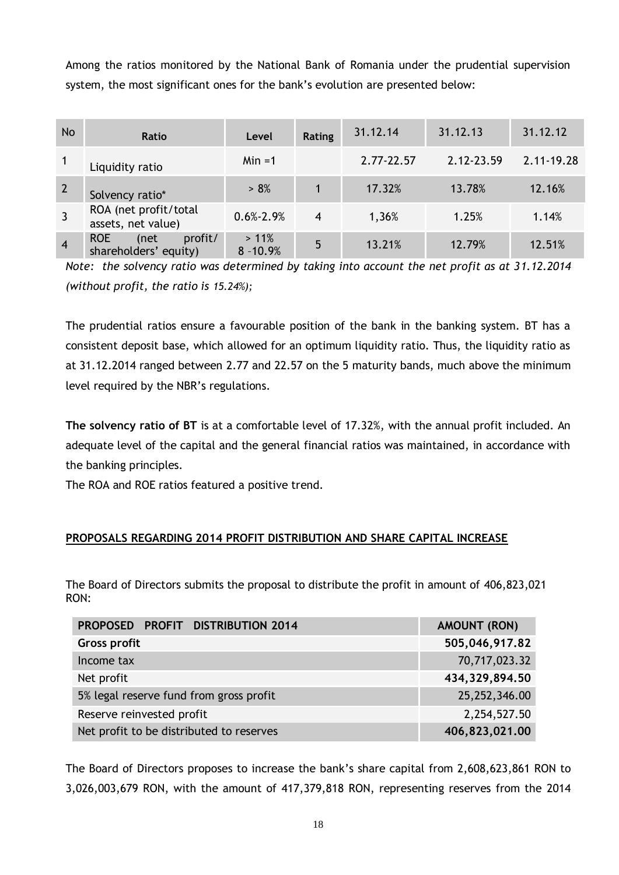Among the ratios monitored by the National Bank of Romania under the prudential supervision system, the most significant ones for the bank's evolution are presented below:

| <b>No</b>      | Ratio                                                  | Level                  | Rating         | 31.12.14   | 31.12.13   | 31.12.12   |
|----------------|--------------------------------------------------------|------------------------|----------------|------------|------------|------------|
|                | Liquidity ratio                                        | $Min = 1$              |                | 2.77-22.57 | 2.12-23.59 | 2.11-19.28 |
| $\overline{2}$ | Solvency ratio*                                        | > 8%                   |                | 17.32%     | 13.78%     | 12.16%     |
|                | ROA (net profit/total<br>assets, net value)            | $0.6\% - 2.9\%$        | $\overline{4}$ | 1,36%      | 1.25%      | 1.14%      |
| $\overline{4}$ | <b>ROE</b><br>profit/<br>(net<br>shareholders' equity) | $>11\%$<br>$8 - 10.9%$ | 5              | 13.21%     | 12.79%     | 12.51%     |

*Note: the solvency ratio was determined by taking into account the net profit as at 31.12.2014 (without profit, the ratio is 15.24%);*

The prudential ratios ensure a favourable position of the bank in the banking system. BT has a consistent deposit base, which allowed for an optimum liquidity ratio. Thus, the liquidity ratio as at 31.12.2014 ranged between 2.77 and 22.57 on the 5 maturity bands, much above the minimum level required by the NBR's regulations.

**The solvency ratio of BT** is at a comfortable level of 17.32%, with the annual profit included. An adequate level of the capital and the general financial ratios was maintained, in accordance with the banking principles.

The ROA and ROE ratios featured a positive trend.

# <span id="page-19-0"></span>**PROPOSALS REGARDING 2014 PROFIT DISTRIBUTION AND SHARE CAPITAL INCREASE**

The Board of Directors submits the proposal to distribute the profit in amount of 406,823,021 RON:

| PROPOSED PROFIT DISTRIBUTION 2014        | AMOUNT (RON)     |
|------------------------------------------|------------------|
| Gross profit                             | 505,046,917.82   |
| Income tax                               | 70,717,023.32    |
| Net profit                               | 434, 329, 894.50 |
| 5% legal reserve fund from gross profit  | 25,252,346.00    |
| Reserve reinvested profit                | 2,254,527.50     |
| Net profit to be distributed to reserves | 406,823,021.00   |

The Board of Directors proposes to increase the bank's share capital from 2,608,623,861 RON to 3,026,003,679 RON, with the amount of 417,379,818 RON, representing reserves from the 2014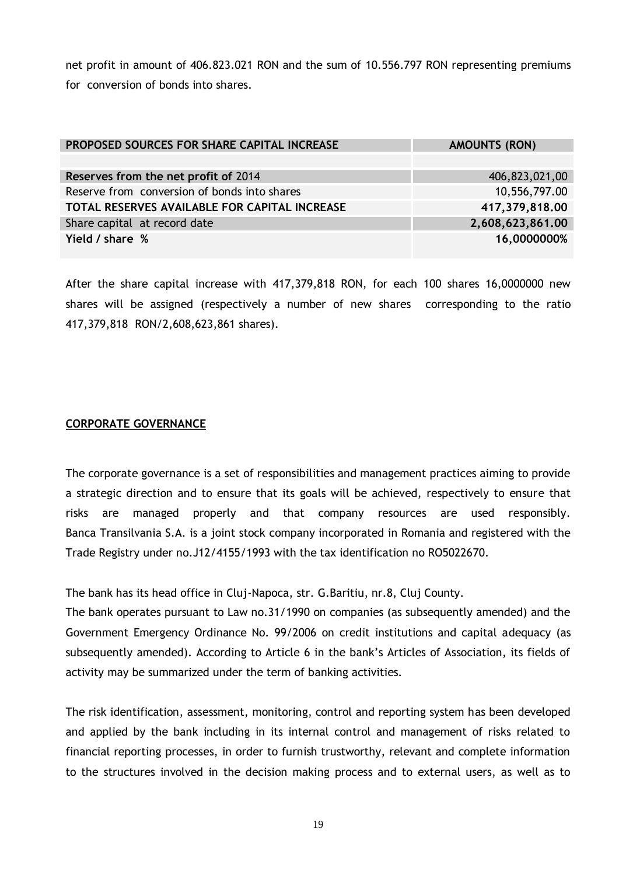net profit in amount of 406.823.021 RON and the sum of 10.556.797 RON representing premiums for conversion of bonds into shares.

| PROPOSED SOURCES FOR SHARE CAPITAL INCREASE   | <b>AMOUNTS (RON)</b> |
|-----------------------------------------------|----------------------|
|                                               |                      |
| Reserves from the net profit of 2014          | 406,823,021,00       |
| Reserve from conversion of bonds into shares  | 10,556,797.00        |
| TOTAL RESERVES AVAILABLE FOR CAPITAL INCREASE | 417,379,818.00       |
| Share capital at record date                  | 2,608,623,861.00     |
| Yield / share %                               | 16,0000000%          |

After the share capital increase with 417,379,818 RON, for each 100 shares 16,0000000 new shares will be assigned (respectively a number of new shares corresponding to the ratio 417,379,818 RON/2,608,623,861 shares).

## <span id="page-20-0"></span>**CORPORATE GOVERNANCE**

The corporate governance is a set of responsibilities and management practices aiming to provide a strategic direction and to ensure that its goals will be achieved, respectively to ensure that risks are managed properly and that company resources are used responsibly. Banca Transilvania S.A. is a joint stock company incorporated in Romania and registered with the Trade Registry under no.J12/4155/1993 with the tax identification no RO5022670.

The bank has its head office in Cluj-Napoca, str. G.Baritiu, nr.8, Cluj County.

The bank operates pursuant to Law no.31/1990 on companies (as subsequently amended) and the Government Emergency Ordinance No. 99/2006 on credit institutions and capital adequacy (as subsequently amended). According to Article 6 in the bank's Articles of Association, its fields of activity may be summarized under the term of banking activities.

The risk identification, assessment, monitoring, control and reporting system has been developed and applied by the bank including in its internal control and management of risks related to financial reporting processes, in order to furnish trustworthy, relevant and complete information to the structures involved in the decision making process and to external users, as well as to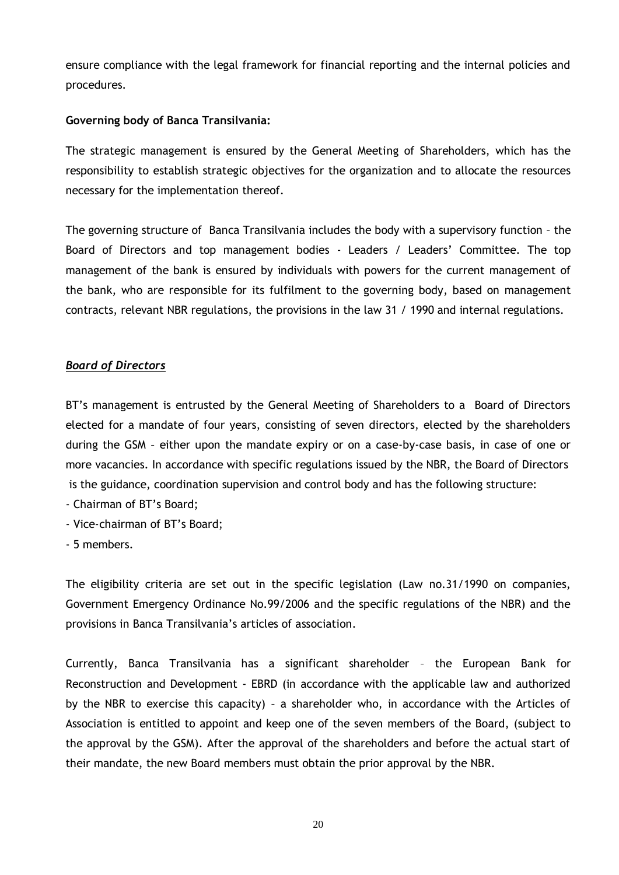ensure compliance with the legal framework for financial reporting and the internal policies and procedures.

## **Governing body of Banca Transilvania:**

The strategic management is ensured by the General Meeting of Shareholders, which has the responsibility to establish strategic objectives for the organization and to allocate the resources necessary for the implementation thereof.

The governing structure of Banca Transilvania includes the body with a supervisory function – the Board of Directors and top management bodies - Leaders / Leaders' Committee. The top management of the bank is ensured by individuals with powers for the current management of the bank, who are responsible for its fulfilment to the governing body, based on management contracts, relevant NBR regulations, the provisions in the law 31 / 1990 and internal regulations.

## *Board of Directors*

BT's management is entrusted by the General Meeting of Shareholders to a Board of Directors elected for a mandate of four years, consisting of seven directors, elected by the shareholders during the GSM – either upon the mandate expiry or on a case-by-case basis, in case of one or more vacancies. In accordance with specific regulations issued by the NBR, the Board of Directors is the guidance, coordination supervision and control body and has the following structure:

- Chairman of BT's Board;
- Vice-chairman of BT's Board;
- 5 members.

The eligibility criteria are set out in the specific legislation (Law no.31/1990 on companies, Government Emergency Ordinance No.99/2006 and the specific regulations of the NBR) and the provisions in Banca Transilvania's articles of association.

Currently, Banca Transilvania has a significant shareholder – the European Bank for Reconstruction and Development - EBRD (in accordance with the applicable law and authorized by the NBR to exercise this capacity) – a shareholder who, in accordance with the Articles of Association is entitled to appoint and keep one of the seven members of the Board, (subject to the approval by the GSM). After the approval of the shareholders and before the actual start of their mandate, the new Board members must obtain the prior approval by the NBR.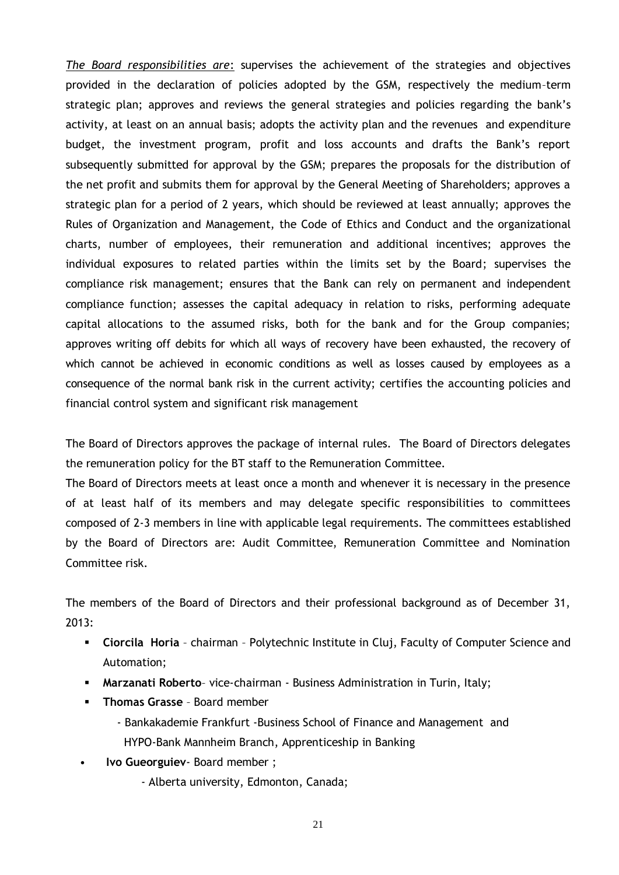*The Board responsibilities are*: supervises the achievement of the strategies and objectives provided in the declaration of policies adopted by the GSM, respectively the medium–term strategic plan; approves and reviews the general strategies and policies regarding the bank's activity, at least on an annual basis; adopts the activity plan and the revenues and expenditure budget, the investment program, profit and loss accounts and drafts the Bank's report subsequently submitted for approval by the GSM; prepares the proposals for the distribution of the net profit and submits them for approval by the General Meeting of Shareholders; approves a strategic plan for a period of 2 years, which should be reviewed at least annually; approves the Rules of Organization and Management, the Code of Ethics and Conduct and the organizational charts, number of employees, their remuneration and additional incentives; approves the individual exposures to related parties within the limits set by the Board; supervises the compliance risk management; ensures that the Bank can rely on permanent and independent compliance function; assesses the capital adequacy in relation to risks, performing adequate capital allocations to the assumed risks, both for the bank and for the Group companies; approves writing off debits for which all ways of recovery have been exhausted, the recovery of which cannot be achieved in economic conditions as well as losses caused by employees as a consequence of the normal bank risk in the current activity; certifies the accounting policies and financial control system and significant risk management

The Board of Directors approves the package of internal rules. The Board of Directors delegates the remuneration policy for the BT staff to the Remuneration Committee.

The Board of Directors meets at least once a month and whenever it is necessary in the presence of at least half of its members and may delegate specific responsibilities to committees composed of 2-3 members in line with applicable legal requirements. The committees established by the Board of Directors are: Audit Committee, Remuneration Committee and Nomination Committee risk.

The members of the Board of Directors and their professional background as of December 31,  $2013$ 

- **Ciorcila Horia** chairman Polytechnic Institute in Cluj, Faculty of Computer Science and Automation;
- **Marzanati Roberto** vice-chairman Business Administration in Turin, Italy;
- **Thomas Grasse** Board member
	- Bankakademie Frankfurt -Business School of Finance and Management and HYPO-Bank Mannheim Branch, Apprenticeship in Banking
- **Ivo Gueorguiev** Board member ;
	- Alberta university, Edmonton, Canada;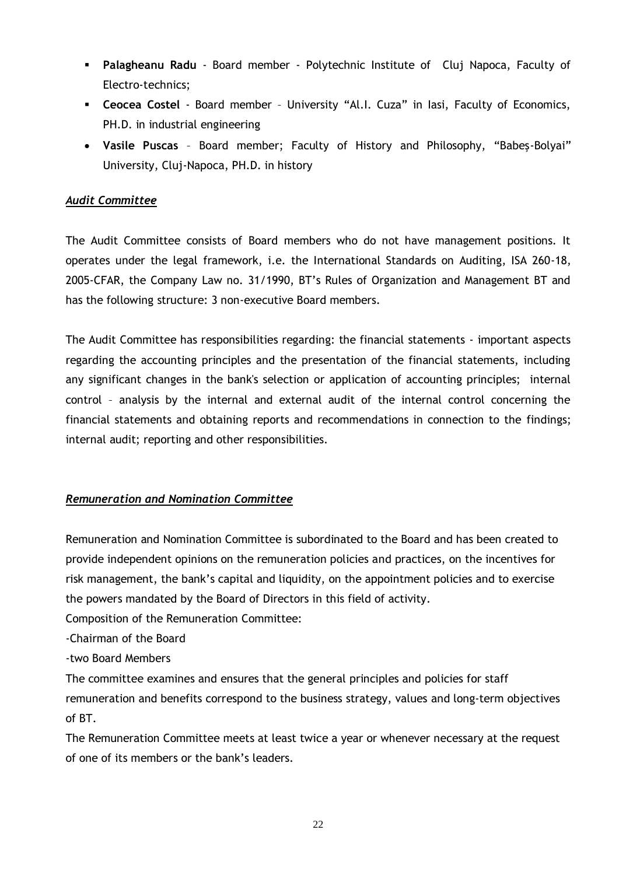- **Palagheanu Radu** Board member Polytechnic Institute of Cluj Napoca, Faculty of Electro-technics;
- **Ceocea Costel** Board member University "Al.I. Cuza" in Iasi, Faculty of Economics, PH.D. in industrial engineering
- **Vasile Puscas** Board member; Faculty of History and Philosophy, "Babeş-Bolyai" University, Cluj-Napoca, PH.D. in history

# *Audit Committee*

The Audit Committee consists of Board members who do not have management positions. It operates under the legal framework, i.e. the International Standards on Auditing, ISA 260-18, 2005-CFAR, the Company Law no. 31/1990, BT's Rules of Organization and Management BT and has the following structure: 3 non-executive Board members.

The Audit Committee has responsibilities regarding: the financial statements - important aspects regarding the accounting principles and the presentation of the financial statements, including any significant changes in the bank's selection or application of accounting principles; internal control – analysis by the internal and external audit of the internal control concerning the financial statements and obtaining reports and recommendations in connection to the findings; internal audit; reporting and other responsibilities.

# *Remuneration and Nomination Committee*

Remuneration and Nomination Committee is subordinated to the Board and has been created to provide independent opinions on the remuneration policies and practices, on the incentives for risk management, the bank's capital and liquidity, on the appointment policies and to exercise the powers mandated by the Board of Directors in this field of activity.

Composition of the Remuneration Committee:

-Chairman of the Board

-two Board Members

The committee examines and ensures that the general principles and policies for staff remuneration and benefits correspond to the business strategy, values and long-term objectives of BT.

The Remuneration Committee meets at least twice a year or whenever necessary at the request of one of its members or the bank's leaders.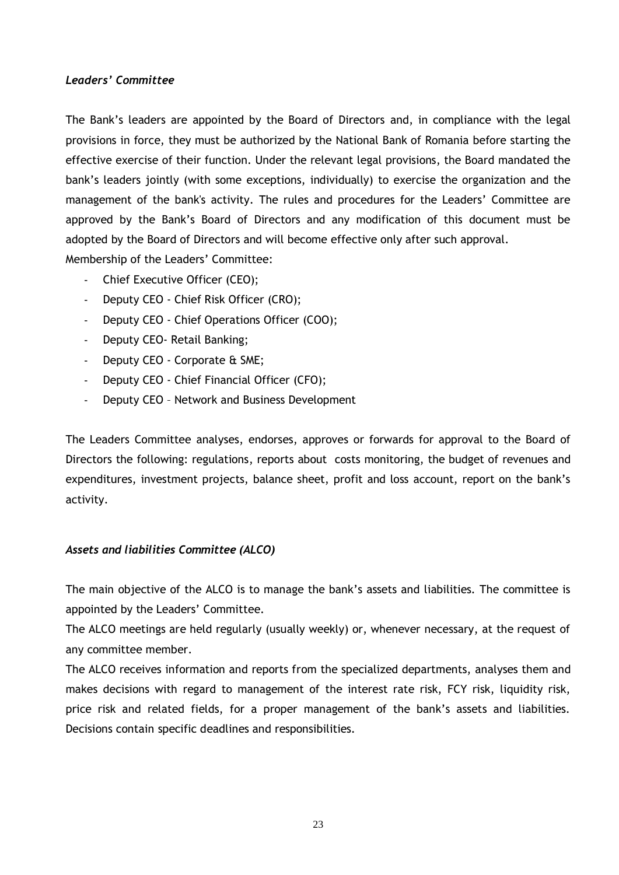## *Leaders' Committee*

The Bank's leaders are appointed by the Board of Directors and, in compliance with the legal provisions in force, they must be authorized by the National Bank of Romania before starting the effective exercise of their function. Under the relevant legal provisions, the Board mandated the bank's leaders jointly (with some exceptions, individually) to exercise the organization and the management of the bank's activity. The rules and procedures for the Leaders' Committee are approved by the Bank's Board of Directors and any modification of this document must be adopted by the Board of Directors and will become effective only after such approval. Membership of the Leaders' Committee:

- Chief Executive Officer (CEO);
- Deputy CEO Chief Risk Officer (CRO);
- Deputy CEO Chief Operations Officer (COO);
- Deputy CEO- Retail Banking;
- Deputy CEO Corporate & SME;
- Deputy CEO Chief Financial Officer (CFO);
- Deputy CEO Network and Business Development

The Leaders Committee analyses, endorses, approves or forwards for approval to the Board of Directors the following: regulations, reports about costs monitoring, the budget of revenues and expenditures, investment projects, balance sheet, profit and loss account, report on the bank's activity.

# *Assets and liabilities Committee (ALCO)*

The main objective of the ALCO is to manage the bank's assets and liabilities. The committee is appointed by the Leaders' Committee.

The ALCO meetings are held regularly (usually weekly) or, whenever necessary, at the request of any committee member.

The ALCO receives information and reports from the specialized departments, analyses them and makes decisions with regard to management of the interest rate risk, FCY risk, liquidity risk, price risk and related fields, for a proper management of the bank's assets and liabilities. Decisions contain specific deadlines and responsibilities.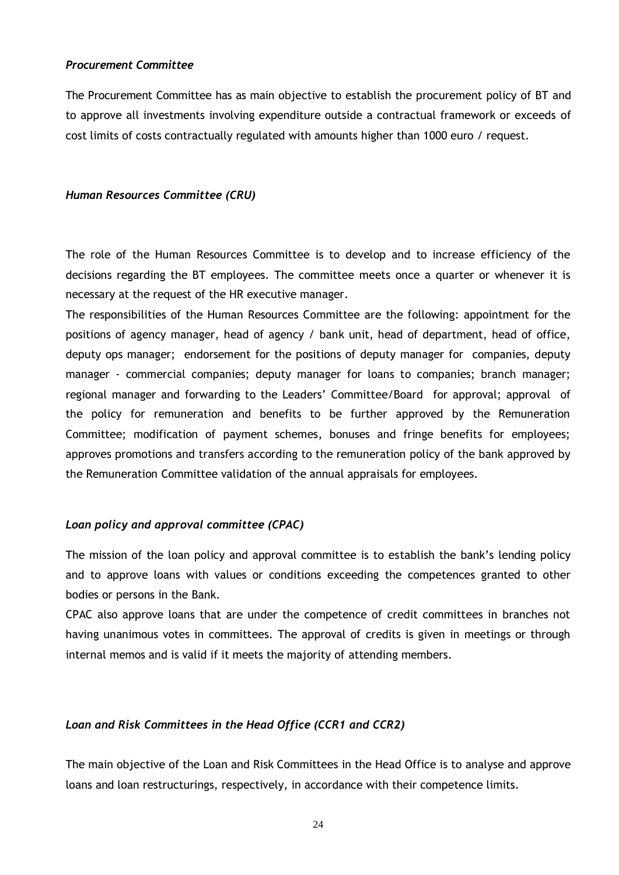#### *Procurement Committee*

The Procurement Committee has as main objective to establish the procurement policy of BT and to approve all investments involving expenditure outside a contractual framework or exceeds of cost limits of costs contractually regulated with amounts higher than 1000 euro / request.

#### *Human Resources Committee (CRU)*

The role of the Human Resources Committee is to develop and to increase efficiency of the decisions regarding the BT employees. The committee meets once a quarter or whenever it is necessary at the request of the HR executive manager.

The responsibilities of the Human Resources Committee are the following: appointment for the positions of agency manager, head of agency / bank unit, head of department, head of office, deputy ops manager; endorsement for the positions of deputy manager for companies, deputy manager - commercial companies; deputy manager for loans to companies; branch manager; regional manager and forwarding to the Leaders' Committee/Board for approval; approval of the policy for remuneration and benefits to be further approved by the Remuneration Committee; modification of payment schemes, bonuses and fringe benefits for employees; approves promotions and transfers according to the remuneration policy of the bank approved by the Remuneration Committee validation of the annual appraisals for employees.

#### *Loan policy and approval committee (CPAC)*

The mission of the loan policy and approval committee is to establish the bank's lending policy and to approve loans with values or conditions exceeding the competences granted to other bodies or persons in the Bank.

CPAC also approve loans that are under the competence of credit committees in branches not having unanimous votes in committees. The approval of credits is given in meetings or through internal memos and is valid if it meets the majority of attending members.

### *Loan and Risk Committees in the Head Office (CCR1 and CCR2)*

The main objective of the Loan and Risk Committees in the Head Office is to analyse and approve loans and loan restructurings, respectively, in accordance with their competence limits.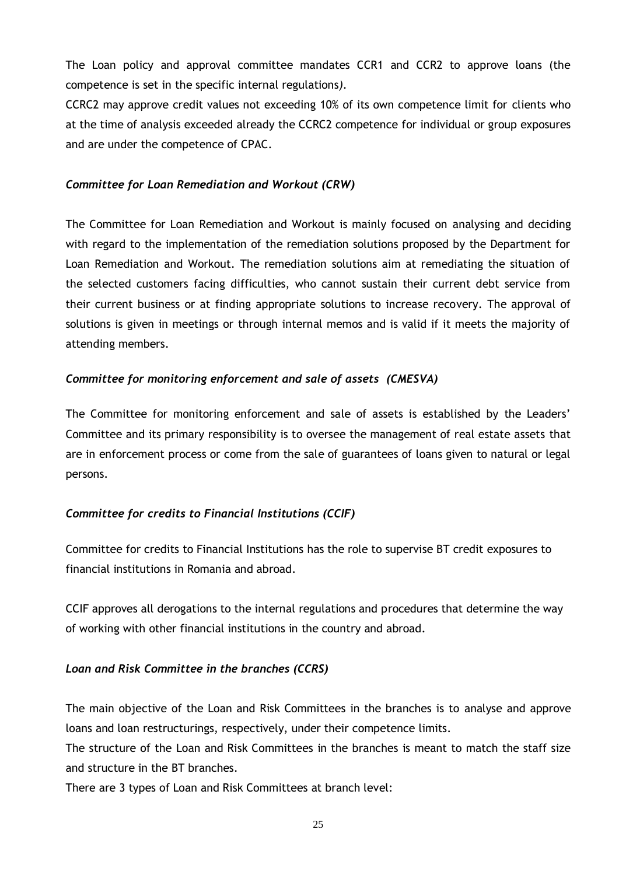The Loan policy and approval committee mandates CCR1 and CCR2 to approve loans (the competence is set in the specific internal regulations*).*

CCRC2 may approve credit values not exceeding 10% of its own competence limit for clients who at the time of analysis exceeded already the CCRC2 competence for individual or group exposures and are under the competence of CPAC.

## *Committee for Loan Remediation and Workout (CRW)*

The Committee for Loan Remediation and Workout is mainly focused on analysing and deciding with regard to the implementation of the remediation solutions proposed by the Department for Loan Remediation and Workout. The remediation solutions aim at remediating the situation of the selected customers facing difficulties, who cannot sustain their current debt service from their current business or at finding appropriate solutions to increase recovery. The approval of solutions is given in meetings or through internal memos and is valid if it meets the majority of attending members.

## *Committee for monitoring enforcement and sale of assets (CMESVA)*

The Committee for monitoring enforcement and sale of assets is established by the Leaders' Committee and its primary responsibility is to oversee the management of real estate assets that are in enforcement process or come from the sale of guarantees of loans given to natural or legal persons.

# *Committee for credits to Financial Institutions (CCIF)*

Committee for credits to Financial Institutions has the role to supervise BT credit exposures to financial institutions in Romania and abroad.

CCIF approves all derogations to the internal regulations and procedures that determine the way of working with other financial institutions in the country and abroad.

#### *Loan and Risk Committee in the branches (CCRS)*

The main objective of the Loan and Risk Committees in the branches is to analyse and approve loans and loan restructurings, respectively, under their competence limits.

The structure of the Loan and Risk Committees in the branches is meant to match the staff size and structure in the BT branches.

There are 3 types of Loan and Risk Committees at branch level: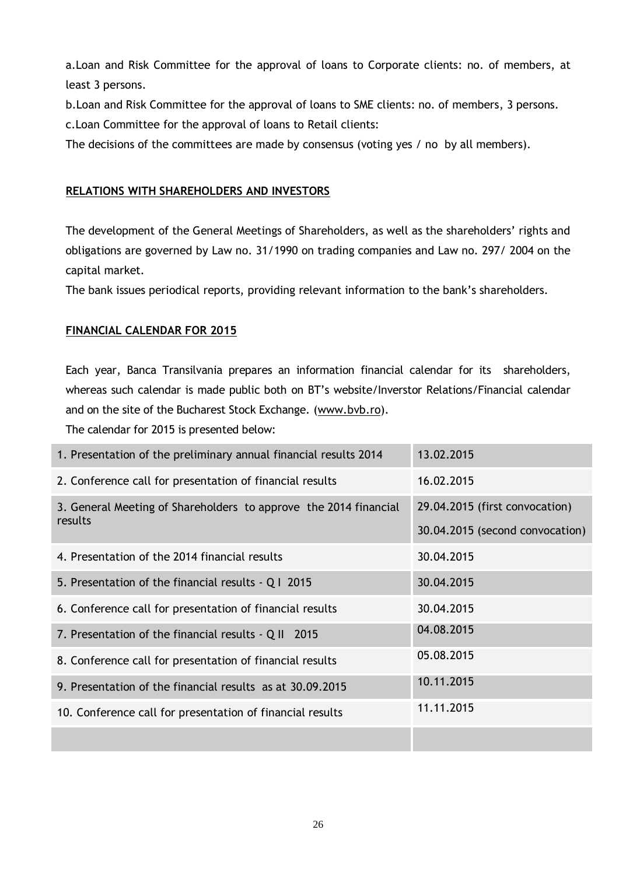a.Loan and Risk Committee for the approval of loans to Corporate clients: no. of members, at least 3 persons.

b.Loan and Risk Committee for the approval of loans to SME clients: no. of members, 3 persons. c.Loan Committee for the approval of loans to Retail clients:

The decisions of the committees are made by consensus (voting yes / no by all members).

# <span id="page-27-0"></span>**RELATIONS WITH SHAREHOLDERS AND INVESTORS**

The development of the General Meetings of Shareholders, as well as the shareholders' rights and obligations are governed by Law no. 31/1990 on trading companies and Law no. 297/ 2004 on the capital market.

The bank issues periodical reports, providing relevant information to the bank's shareholders.

# <span id="page-27-1"></span>**FINANCIAL CALENDAR FOR 2015**

Each year, Banca Transilvania prepares an information financial calendar for its shareholders, whereas such calendar is made public both on BT's website/Inverstor Relations/Financial calendar and on the site of the Bucharest Stock Exchange. [\(www.bvb.ro\)](http://www.bvb.ro/).

The calendar for 2015 is presented below:

| 1. Presentation of the preliminary annual financial results 2014 | 13.02.2015                      |
|------------------------------------------------------------------|---------------------------------|
| 2. Conference call for presentation of financial results         | 16.02.2015                      |
| 3. General Meeting of Shareholders to approve the 2014 financial | 29.04.2015 (first convocation)  |
| results                                                          | 30.04.2015 (second convocation) |
| 4. Presentation of the 2014 financial results                    | 30.04.2015                      |
| 5. Presentation of the financial results - Q I 2015              | 30.04.2015                      |
| 6. Conference call for presentation of financial results         | 30.04.2015                      |
| 7. Presentation of the financial results - Q II 2015             | 04.08.2015                      |
| 8. Conference call for presentation of financial results         | 05.08.2015                      |
| 9. Presentation of the financial results as at 30.09.2015        | 10.11.2015                      |
| 10. Conference call for presentation of financial results        | 11.11.2015                      |
|                                                                  |                                 |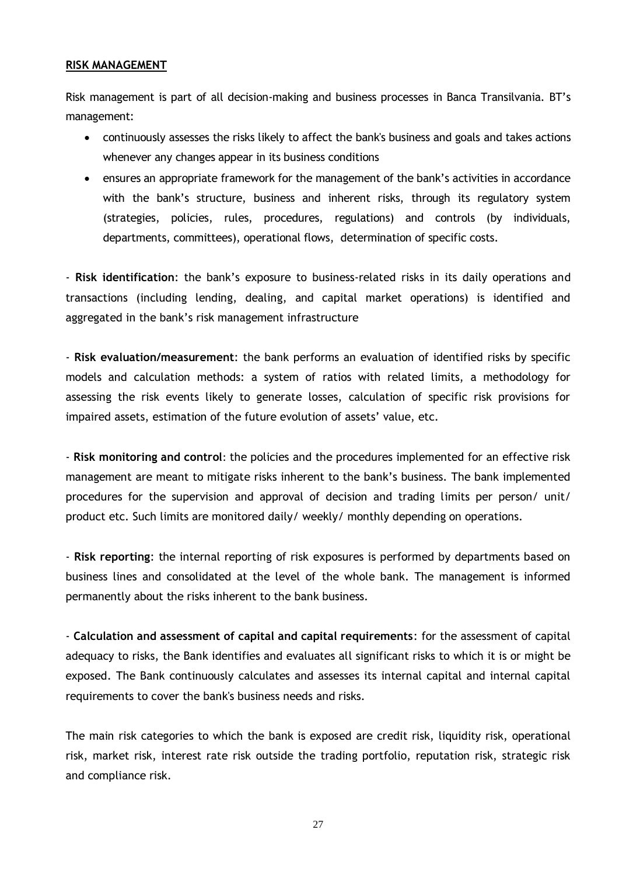#### <span id="page-28-0"></span>**RISK MANAGEMENT**

Risk management is part of all decision-making and business processes in Banca Transilvania. BT's management:

- continuously assesses the risks likely to affect the bank's business and goals and takes actions whenever any changes appear in its business conditions
- ensures an appropriate framework for the management of the bank's activities in accordance with the bank's structure, business and inherent risks, through its regulatory system (strategies, policies, rules, procedures, regulations) and controls (by individuals, departments, committees), operational flows, determination of specific costs.

- **Risk identification**: the bank's exposure to business-related risks in its daily operations and transactions (including lending, dealing, and capital market operations) is identified and aggregated in the bank's risk management infrastructure

- **Risk evaluation/measurement**: the bank performs an evaluation of identified risks by specific models and calculation methods: a system of ratios with related limits, a methodology for assessing the risk events likely to generate losses, calculation of specific risk provisions for impaired assets, estimation of the future evolution of assets' value, etc.

- **Risk monitoring and control**: the policies and the procedures implemented for an effective risk management are meant to mitigate risks inherent to the bank's business. The bank implemented procedures for the supervision and approval of decision and trading limits per person/ unit/ product etc. Such limits are monitored daily/ weekly/ monthly depending on operations.

- **Risk reporting**: the internal reporting of risk exposures is performed by departments based on business lines and consolidated at the level of the whole bank. The management is informed permanently about the risks inherent to the bank business.

- **Calculation and assessment of capital and capital requirements**: for the assessment of capital adequacy to risks, the Bank identifies and evaluates all significant risks to which it is or might be exposed. The Bank continuously calculates and assesses its internal capital and internal capital requirements to cover the bank's business needs and risks.

The main risk categories to which the bank is exposed are credit risk, liquidity risk, operational risk, market risk, interest rate risk outside the trading portfolio, reputation risk, strategic risk and compliance risk.

27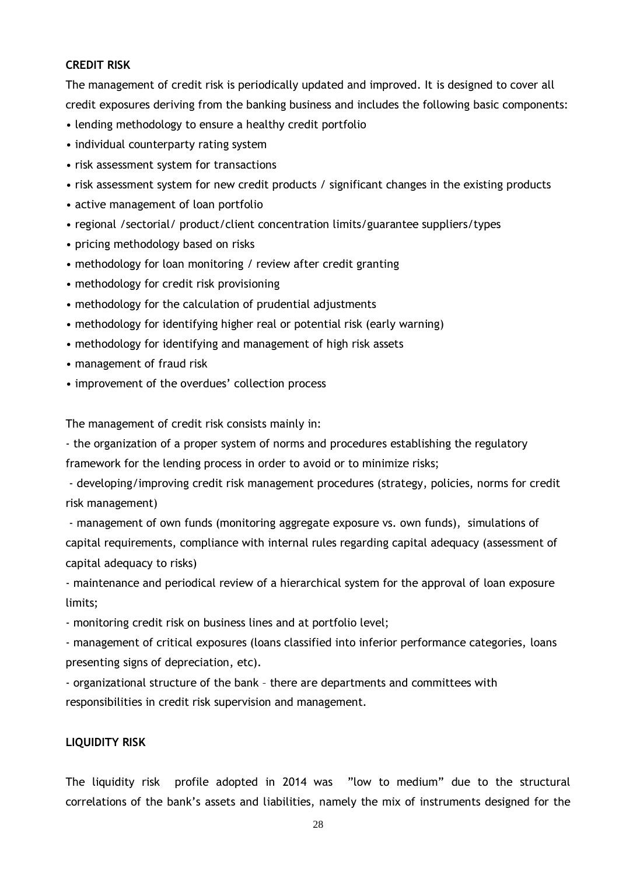### **CREDIT RISK**

The management of credit risk is periodically updated and improved. It is designed to cover all credit exposures deriving from the banking business and includes the following basic components:

- lending methodology to ensure a healthy credit portfolio
- individual counterparty rating system
- risk assessment system for transactions
- risk assessment system for new credit products / significant changes in the existing products
- active management of loan portfolio
- regional /sectorial/ product/client concentration limits/guarantee suppliers/types
- pricing methodology based on risks
- methodology for loan monitoring / review after credit granting
- methodology for credit risk provisioning
- methodology for the calculation of prudential adjustments
- methodology for identifying higher real or potential risk (early warning)
- methodology for identifying and management of high risk assets
- management of fraud risk
- improvement of the overdues' collection process

The management of credit risk consists mainly in:

- the organization of a proper system of norms and procedures establishing the regulatory

framework for the lending process in order to avoid or to minimize risks;

- developing/improving credit risk management procedures (strategy, policies, norms for credit risk management)

- management of own funds (monitoring aggregate exposure vs. own funds), simulations of capital requirements, compliance with internal rules regarding capital adequacy (assessment of capital adequacy to risks)

- maintenance and periodical review of a hierarchical system for the approval of loan exposure limits;

- monitoring credit risk on business lines and at portfolio level;

- management of critical exposures (loans classified into inferior performance categories, loans presenting signs of depreciation, etc).

- organizational structure of the bank – there are departments and committees with responsibilities in credit risk supervision and management.

#### **LIQUIDITY RISK**

The liquidity risk profile adopted in 2014 was "low to medium" due to the structural correlations of the bank's assets and liabilities, namely the mix of instruments designed for the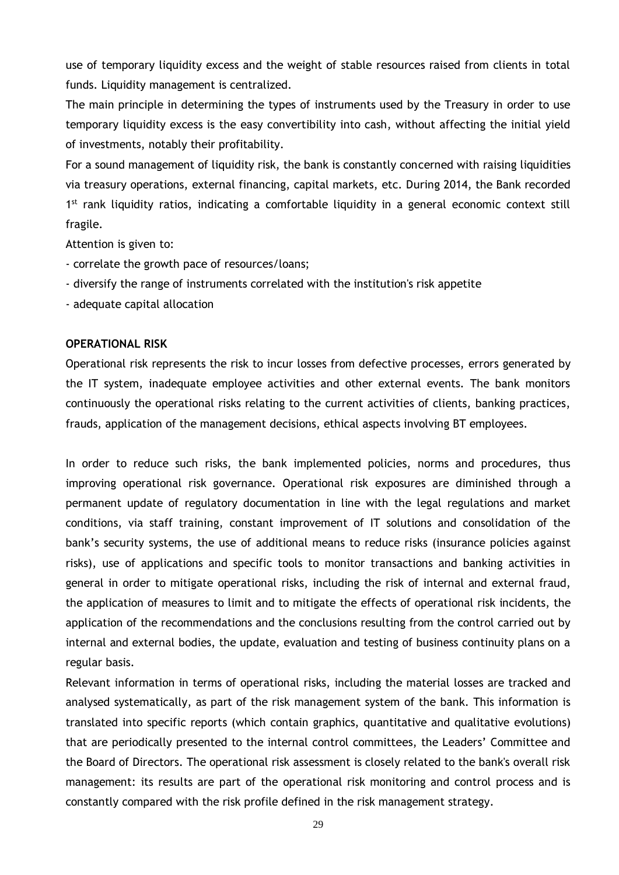use of temporary liquidity excess and the weight of stable resources raised from clients in total funds. Liquidity management is centralized.

The main principle in determining the types of instruments used by the Treasury in order to use temporary liquidity excess is the easy convertibility into cash, without affecting the initial yield of investments, notably their profitability.

For a sound management of liquidity risk, the bank is constantly concerned with raising liquidities via treasury operations, external financing, capital markets, etc. During 2014, the Bank recorded 1<sup>st</sup> rank liquidity ratios, indicating a comfortable liquidity in a general economic context still fragile.

Attention is given to:

- correlate the growth pace of resources/loans;
- diversify the range of instruments correlated with the institution's risk appetite
- adequate capital allocation

#### **OPERATIONAL RISK**

Operational risk represents the risk to incur losses from defective processes, errors generated by the IT system, inadequate employee activities and other external events. The bank monitors continuously the operational risks relating to the current activities of clients, banking practices, frauds, application of the management decisions, ethical aspects involving BT employees.

In order to reduce such risks, the bank implemented policies, norms and procedures, thus improving operational risk governance. Operational risk exposures are diminished through a permanent update of regulatory documentation in line with the legal regulations and market conditions, via staff training, constant improvement of IT solutions and consolidation of the bank's security systems, the use of additional means to reduce risks (insurance policies against risks), use of applications and specific tools to monitor transactions and banking activities in general in order to mitigate operational risks, including the risk of internal and external fraud, the application of measures to limit and to mitigate the effects of operational risk incidents, the application of the recommendations and the conclusions resulting from the control carried out by internal and external bodies, the update, evaluation and testing of business continuity plans on a regular basis.

Relevant information in terms of operational risks, including the material losses are tracked and analysed systematically, as part of the risk management system of the bank. This information is translated into specific reports (which contain graphics, quantitative and qualitative evolutions) that are periodically presented to the internal control committees, the Leaders' Committee and the Board of Directors. The operational risk assessment is closely related to the bank's overall risk management: its results are part of the operational risk monitoring and control process and is constantly compared with the risk profile defined in the risk management strategy.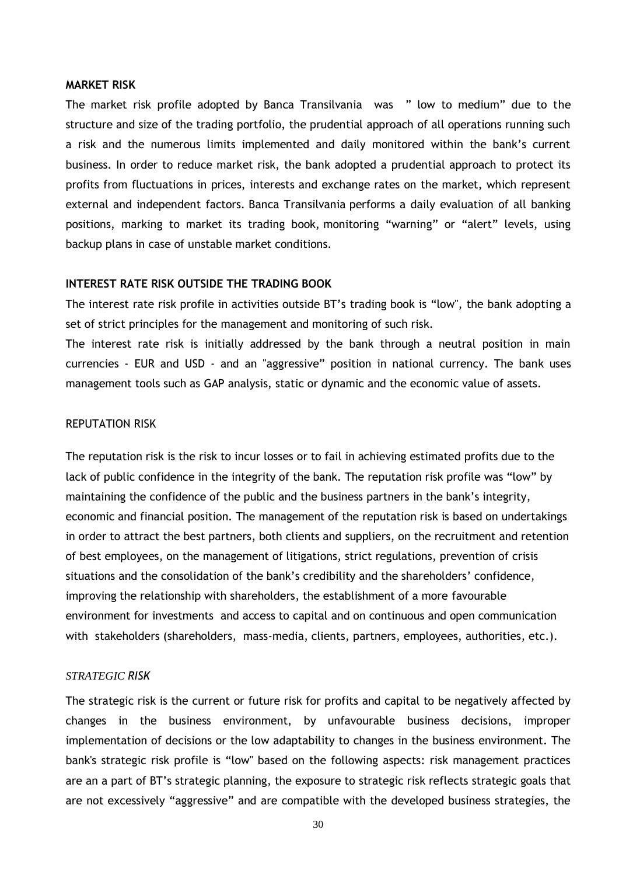#### **MARKET RISK**

The market risk profile adopted by Banca Transilvania was " low to medium" due to the structure and size of the trading portfolio, the prudential approach of all operations running such a risk and the numerous limits implemented and daily monitored within the bank's current business. In order to reduce market risk, the bank adopted a prudential approach to protect its profits from fluctuations in prices, interests and exchange rates on the market, which represent external and independent factors. Banca Transilvania performs a daily evaluation of all banking positions, marking to market its trading book, monitoring "warning" or "alert" levels, using backup plans in case of unstable market conditions.

#### **INTEREST RATE RISK OUTSIDE THE TRADING BOOK**

The interest rate risk profile in activities outside BT's trading book is "low", the bank adopting a set of strict principles for the management and monitoring of such risk.

The interest rate risk is initially addressed by the bank through a neutral position in main currencies - EUR and USD - and an "aggressive" position in national currency. The bank uses management tools such as GAP analysis, static or dynamic and the economic value of assets.

#### REPUTATION RISK

The reputation risk is the risk to incur losses or to fail in achieving estimated profits due to the lack of public confidence in the integrity of the bank. The reputation risk profile was "low" by maintaining the confidence of the public and the business partners in the bank's integrity, economic and financial position. The management of the reputation risk is based on undertakings in order to attract the best partners, both clients and suppliers, on the recruitment and retention of best employees, on the management of litigations, strict regulations, prevention of crisis situations and the consolidation of the bank's credibility and the shareholders' confidence, improving the relationship with shareholders, the establishment of a more favourable environment for investments and access to capital and on continuous and open communication with stakeholders (shareholders, mass-media, clients, partners, employees, authorities, etc.).

#### *STRATEGIC RISK*

The strategic risk is the current or future risk for profits and capital to be negatively affected by changes in the business environment, by unfavourable business decisions, improper implementation of decisions or the low adaptability to changes in the business environment. The bank's strategic risk profile is "low" based on the following aspects: risk management practices are an a part of BT's strategic planning, the exposure to strategic risk reflects strategic goals that are not excessively "aggressive" and are compatible with the developed business strategies, the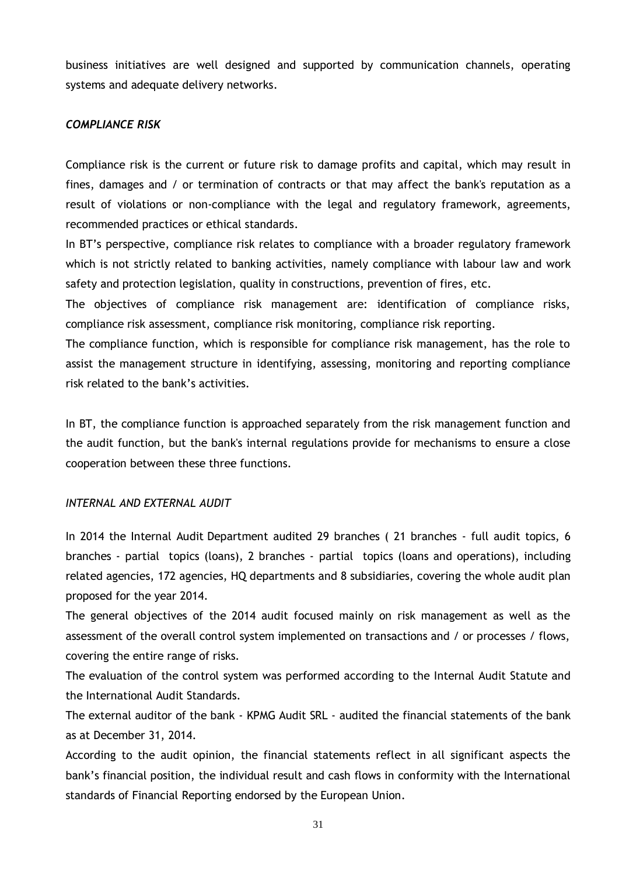business initiatives are well designed and supported by communication channels, operating systems and adequate delivery networks.

### *COMPLIANCE RISK*

Compliance risk is the current or future risk to damage profits and capital, which may result in fines, damages and / or termination of contracts or that may affect the bank's reputation as a result of violations or non-compliance with the legal and regulatory framework, agreements, recommended practices or ethical standards.

In BT's perspective, compliance risk relates to compliance with a broader regulatory framework which is not strictly related to banking activities, namely compliance with labour law and work safety and protection legislation, quality in constructions, prevention of fires, etc.

The objectives of compliance risk management are: identification of compliance risks, compliance risk assessment, compliance risk monitoring, compliance risk reporting.

The compliance function, which is responsible for compliance risk management, has the role to assist the management structure in identifying, assessing, monitoring and reporting compliance risk related to the bank's activities.

In BT, the compliance function is approached separately from the risk management function and the audit function, but the bank's internal regulations provide for mechanisms to ensure a close cooperation between these three functions.

#### *INTERNAL AND EXTERNAL AUDIT*

In 2014 the Internal Audit Department audited 29 branches (21 branches - full audit topics, 6 branches - partial topics (loans), 2 branches - partial topics (loans and operations), including related agencies, 172 agencies, HQ departments and 8 subsidiaries, covering the whole audit plan proposed for the year 2014.

The general objectives of the 2014 audit focused mainly on risk management as well as the assessment of the overall control system implemented on transactions and / or processes / flows, covering the entire range of risks.

The evaluation of the control system was performed according to the Internal Audit Statute and the International Audit Standards.

The external auditor of the bank - KPMG Audit SRL - audited the financial statements of the bank as at December 31, 2014.

<span id="page-32-0"></span>According to the audit opinion, the financial statements reflect in all significant aspects the bank's financial position, the individual result and cash flows in conformity with the International standards of Financial Reporting endorsed by the European Union.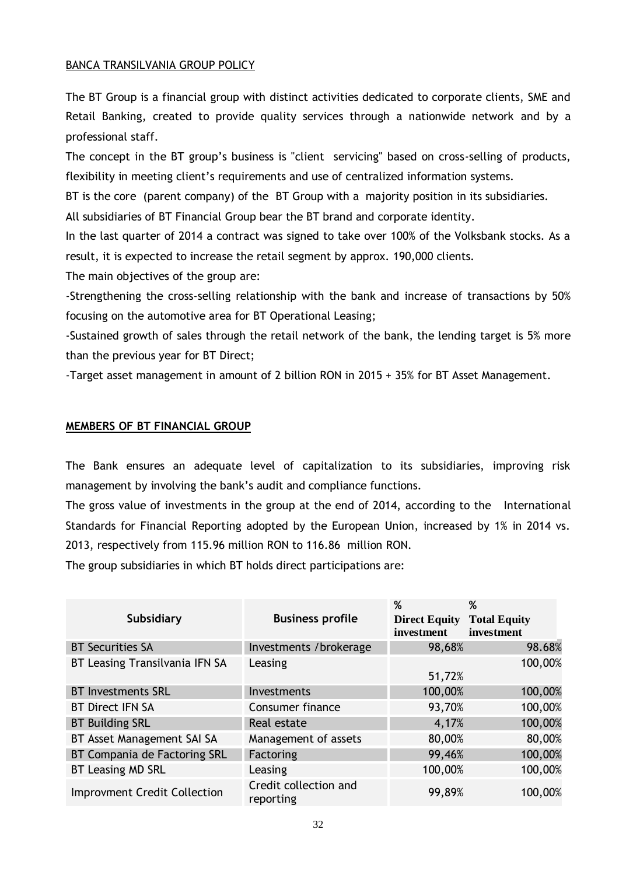## BANCA TRANSILVANIA GROUP POLICY

The BT Group is a financial group with distinct activities dedicated to corporate clients, SME and Retail Banking, created to provide quality services through a nationwide network and by a professional staff.

The concept in the BT group's business is "client servicing" based on cross-selling of products, flexibility in meeting client's requirements and use of centralized information systems.

BT is the core (parent company) of the BT Group with a majority position in its subsidiaries.

All subsidiaries of BT Financial Group bear the BT brand and corporate identity.

In the last quarter of 2014 a contract was signed to take over 100% of the Volksbank stocks. As a result, it is expected to increase the retail segment by approx. 190,000 clients.

The main objectives of the group are:

-Strengthening the cross-selling relationship with the bank and increase of transactions by 50% focusing on the automotive area for BT Operational Leasing;

-Sustained growth of sales through the retail network of the bank, the lending target is 5% more than the previous year for BT Direct;

-Target asset management in amount of 2 billion RON in 2015 + 35% for BT Asset Management.

## <span id="page-33-0"></span>**MEMBERS OF BT FINANCIAL GROUP**

The Bank ensures an adequate level of capitalization to its subsidiaries, improving risk management by involving the bank's audit and compliance functions.

The gross value of investments in the group at the end of 2014, according to the International Standards for Financial Reporting adopted by the European Union, increased by 1% in 2014 vs. 2013, respectively from 115.96 million RON to 116.86 million RON.

The group subsidiaries in which BT holds direct participations are:

| <b>Subsidiary</b>                   | <b>Business profile</b>            | %<br><b>Direct Equity</b><br>investment | %<br><b>Total Equity</b><br>investment |
|-------------------------------------|------------------------------------|-----------------------------------------|----------------------------------------|
| <b>BT Securities SA</b>             | Investments /brokerage             | 98,68%                                  | 98.68%                                 |
| BT Leasing Transilvania IFN SA      | Leasing                            | 51,72%                                  | 100,00%                                |
| <b>BT Investments SRL</b>           | Investments                        | 100,00%                                 | 100,00%                                |
| <b>BT Direct IFN SA</b>             | Consumer finance                   | 93,70%                                  | 100,00%                                |
| <b>BT Building SRL</b>              | Real estate                        | 4,17%                                   | 100,00%                                |
| BT Asset Management SAI SA          | Management of assets               | 80,00%                                  | 80,00%                                 |
| BT Compania de Factoring SRL        | Factoring                          | 99,46%                                  | 100,00%                                |
| <b>BT Leasing MD SRL</b>            | Leasing                            | 100,00%                                 | 100,00%                                |
| <b>Improvment Credit Collection</b> | Credit collection and<br>reporting | 99,89%                                  | 100,00%                                |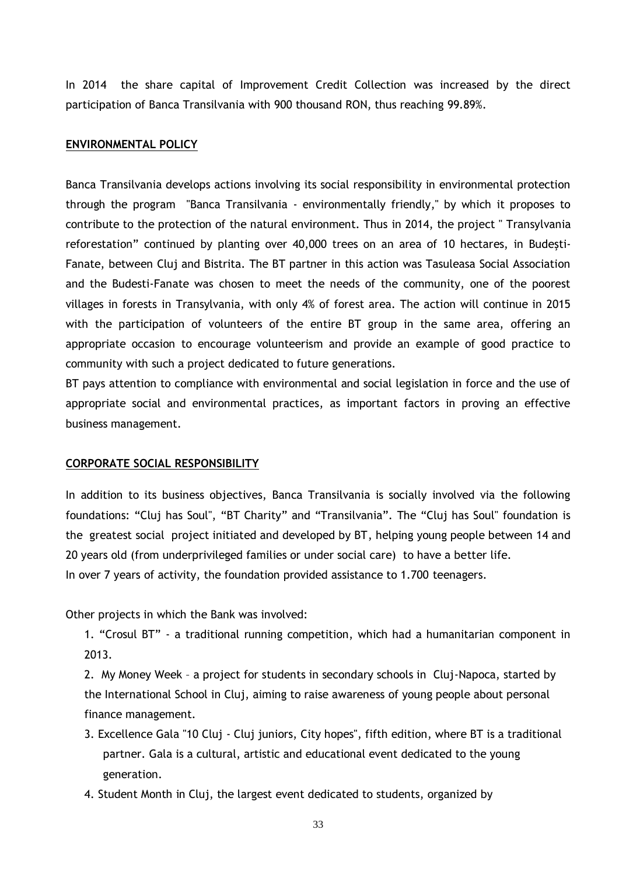In 2014 the share capital of Improvement Credit Collection was increased by the direct participation of Banca Transilvania with 900 thousand RON, thus reaching 99.89%.

## <span id="page-34-0"></span>**ENVIRONMENTAL POLICY**

Banca Transilvania develops actions involving its social responsibility in environmental protection through the program "Banca Transilvania - environmentally friendly," by which it proposes to contribute to the protection of the natural environment. Thus in 2014, the project " Transylvania reforestation" continued by planting over 40,000 trees on an area of 10 hectares, in Budeşti-Fanate, between Cluj and Bistrita. The BT partner in this action was Tasuleasa Social Association and the Budesti-Fanate was chosen to meet the needs of the community, one of the poorest villages in forests in Transylvania, with only 4% of forest area. The action will continue in 2015 with the participation of volunteers of the entire BT group in the same area, offering an appropriate occasion to encourage volunteerism and provide an example of good practice to community with such a project dedicated to future generations.

BT pays attention to compliance with environmental and social legislation in force and the use of appropriate social and environmental practices, as important factors in proving an effective business management.

#### <span id="page-34-1"></span>**CORPORATE SOCIAL RESPONSIBILITY**

In addition to its business objectives, Banca Transilvania is socially involved via the following foundations: "Cluj has Soul", "BT Charity" and "Transilvania". The "Cluj has Soul" foundation is the greatest social project initiated and developed by BT, helping young people between 14 and 20 years old (from underprivileged families or under social care) to have a better life. In over 7 years of activity, the foundation provided assistance to 1.700 teenagers.

Other projects in which the Bank was involved:

1. "Crosul BT" - a traditional running competition, which had a humanitarian component in 2013.

2. My Money Week – a project for students in secondary schools in Cluj-Napoca, started by the International School in Cluj, aiming to raise awareness of young people about personal finance management.

- 3. Excellence Gala "10 Cluj Cluj juniors, City hopes", fifth edition, where BT is a traditional partner. Gala is a cultural, artistic and educational event dedicated to the young generation.
- 4. Student Month in Cluj, the largest event dedicated to students, organized by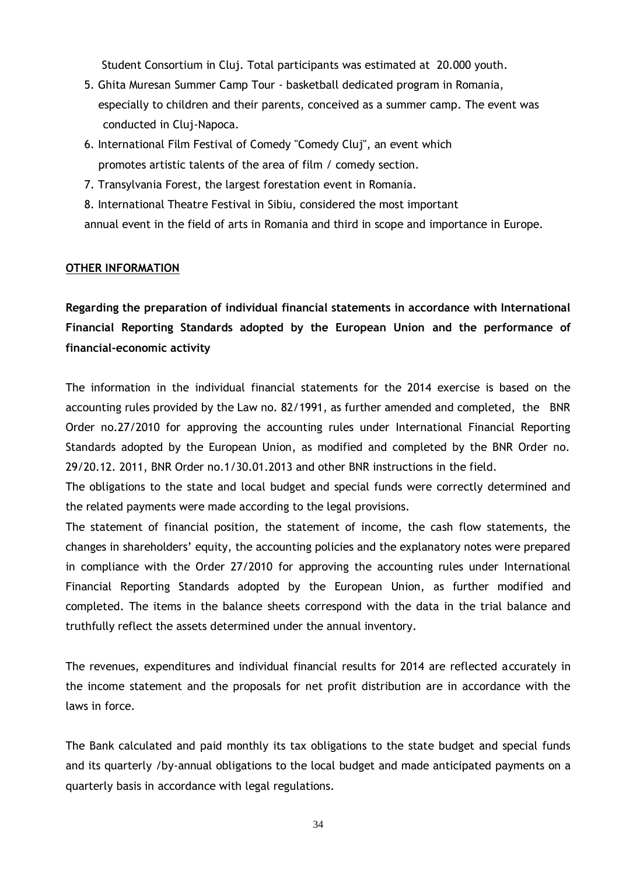Student Consortium in Cluj. Total participants was estimated at 20.000 youth.

- 5. Ghita Muresan Summer Camp Tour basketball dedicated program in Romania, especially to children and their parents, conceived as a summer camp. The event was conducted in Cluj-Napoca.
- 6. International Film Festival of Comedy "Comedy Cluj", an event which promotes artistic talents of the area of film / comedy section.
- 7. Transylvania Forest, the largest forestation event in Romania.
- 8. International Theatre Festival in Sibiu, considered the most important annual event in the field of arts in Romania and third in scope and importance in Europe.

## <span id="page-35-0"></span>**OTHER INFORMATION**

**Regarding the preparation of individual financial statements in accordance with International Financial Reporting Standards adopted by the European Union and the performance of financial-economic activity**

The information in the individual financial statements for the 2014 exercise is based on the accounting rules provided by the Law no. 82/1991, as further amended and completed, the BNR Order no.27/2010 for approving the accounting rules under International Financial Reporting Standards adopted by the European Union, as modified and completed by the BNR Order no. 29/20.12. 2011, BNR Order no.1/30.01.2013 and other BNR instructions in the field.

The obligations to the state and local budget and special funds were correctly determined and the related payments were made according to the legal provisions.

The statement of financial position, the statement of income, the cash flow statements, the changes in shareholders' equity, the accounting policies and the explanatory notes were prepared in compliance with the Order 27/2010 for approving the accounting rules under International Financial Reporting Standards adopted by the European Union, as further modified and completed. The items in the balance sheets correspond with the data in the trial balance and truthfully reflect the assets determined under the annual inventory.

The revenues, expenditures and individual financial results for 2014 are reflected accurately in the income statement and the proposals for net profit distribution are in accordance with the laws in force.

The Bank calculated and paid monthly its tax obligations to the state budget and special funds and its quarterly /by-annual obligations to the local budget and made anticipated payments on a quarterly basis in accordance with legal regulations.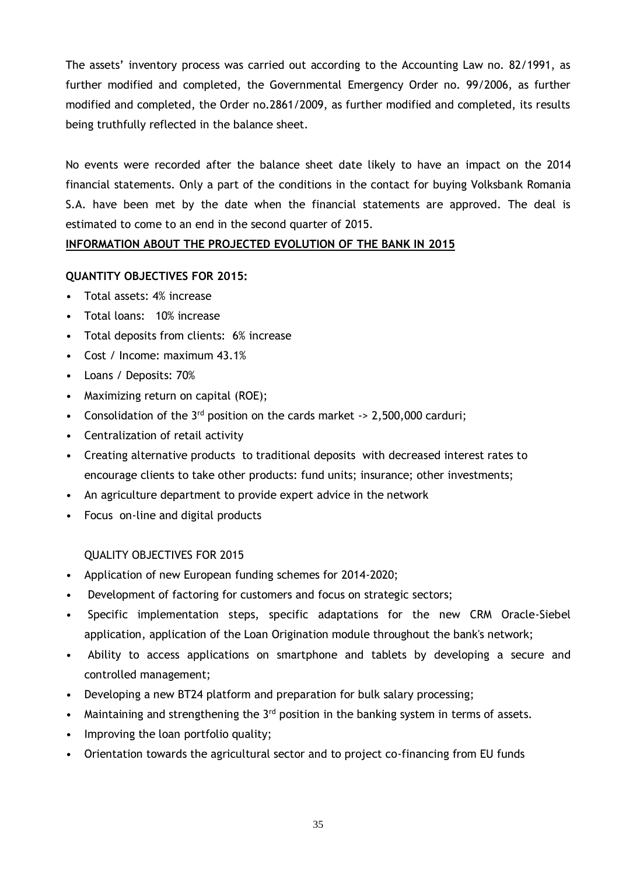The assets' inventory process was carried out according to the Accounting Law no. 82/1991, as further modified and completed, the Governmental Emergency Order no. 99/2006, as further modified and completed, the Order no.2861/2009, as further modified and completed, its results being truthfully reflected in the balance sheet.

No events were recorded after the balance sheet date likely to have an impact on the 2014 financial statements. Only a part of the conditions in the contact for buying Volksbank Romania S.A. have been met by the date when the financial statements are approved. The deal is estimated to come to an end in the second quarter of 2015.

# <span id="page-36-0"></span>**INFORMATION ABOUT THE PROJECTED EVOLUTION OF THE BANK IN 2015**

#### **QUANTITY OBJECTIVES FOR 2015:**

- Total assets: 4% increase
- Total loans: 10% increase
- Total deposits from clients: 6% increase
- Cost / Income: maximum 43.1%
- Loans / Deposits: 70%
- Maximizing return on capital (ROE);
- Consolidation of the  $3^{rd}$  position on the cards market  $\rightarrow$  2,500,000 carduri;
- Centralization of retail activity
- Creating alternative products to traditional deposits with decreased interest rates to encourage clients to take other products: fund units; insurance; other investments;
- An agriculture department to provide expert advice in the network
- Focus on-line and digital products

#### QUALITY OBJECTIVES FOR 2015

- Application of new European funding schemes for 2014-2020;
- Development of factoring for customers and focus on strategic sectors;
- Specific implementation steps, specific adaptations for the new CRM Oracle-Siebel application, application of the Loan Origination module throughout the bank's network;
- Ability to access applications on smartphone and tablets by developing a secure and controlled management;
- Developing a new BT24 platform and preparation for bulk salary processing;
- Maintaining and strengthening the  $3<sup>rd</sup>$  position in the banking system in terms of assets.
- Improving the loan portfolio quality;
- Orientation towards the agricultural sector and to project co-financing from EU funds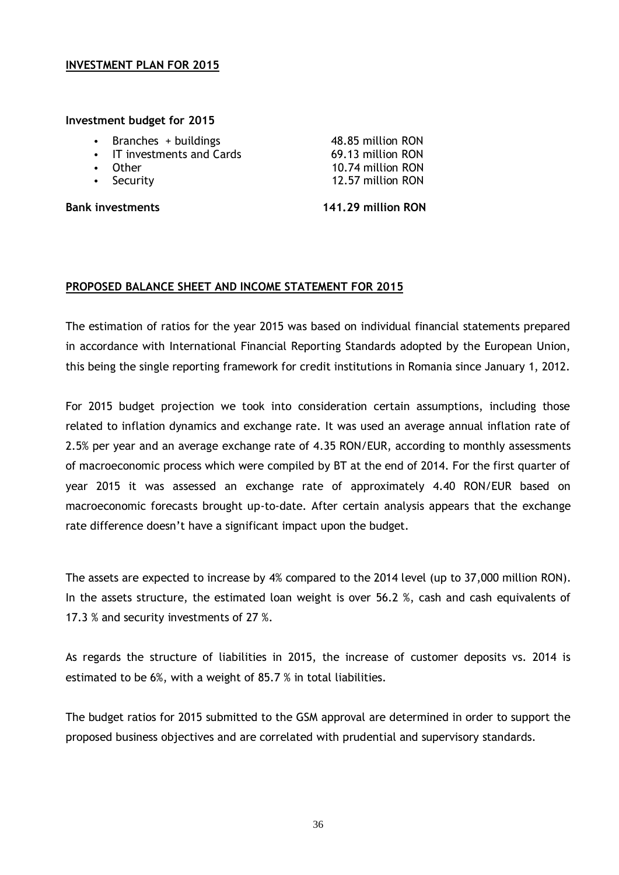#### <span id="page-37-0"></span>**INVESTMENT PLAN FOR 2015**

#### **Investment budget for 2015**

- Branches + buildings 48.85 million RON
- IT investments and Cards 69.13 million RON
- 
- 

Other 10.74 million RON • Security 12.57 million RON

**Bank investments 141.29 million RON**

## <span id="page-37-1"></span>**PROPOSED BALANCE SHEET AND INCOME STATEMENT FOR 2015**

The estimation of ratios for the year 2015 was based on individual financial statements prepared in accordance with International Financial Reporting Standards adopted by the European Union, this being the single reporting framework for credit institutions in Romania since January 1, 2012.

For 2015 budget projection we took into consideration certain assumptions, including those related to inflation dynamics and exchange rate. It was used an average annual inflation rate of 2.5% per year and an average exchange rate of 4.35 RON/EUR, according to monthly [assessments](http://hallo.ro/search.do?l=ro&d=en&query=assessment) of macroeconomic process which were compiled by BT at the end of 2014. For the first quarter of year 2015 it was assessed an exchange rate of approximately 4.40 RON/EUR based on macroeconomic forecasts brought up-to-date. After certain analysis appears that the exchange rate difference doesn't have a significant impact upon the budget.

The assets are expected to increase by 4% compared to the 2014 level (up to 37,000 million RON). In the assets structure, the estimated loan weight is over 56.2 %, cash and cash equivalents of 17.3 % and security investments of 27 %.

As regards the structure of liabilities in 2015, the increase of customer deposits vs. 2014 is estimated to be 6%, with a weight of 85.7 % in total liabilities.

The budget ratios for 2015 submitted to the GSM approval are determined in order to support the proposed business objectives and are correlated with prudential and supervisory standards.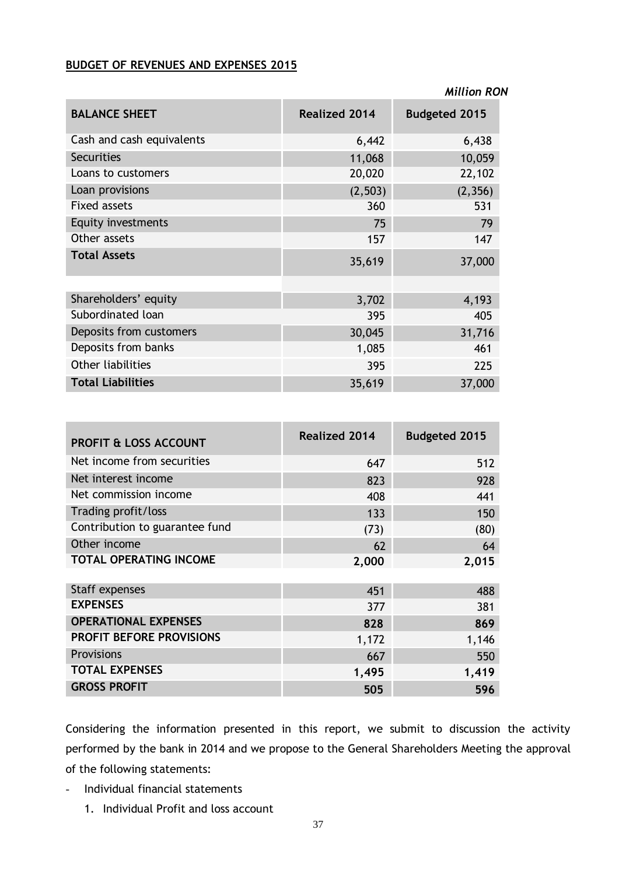#### **BUDGET OF REVENUES AND EXPENSES 2015**

|                           |                      | <b>Million RON</b>   |
|---------------------------|----------------------|----------------------|
| <b>BALANCE SHEET</b>      | <b>Realized 2014</b> | <b>Budgeted 2015</b> |
| Cash and cash equivalents | 6,442                | 6,438                |
| <b>Securities</b>         | 11,068               | 10,059               |
| Loans to customers        | 20,020               | 22,102               |
| Loan provisions           | (2, 503)             | (2, 356)             |
| <b>Fixed assets</b>       | 360                  | 531                  |
| Equity investments        | 75                   | 79                   |
| Other assets              | 157                  | 147                  |
| <b>Total Assets</b>       | 35,619               | 37,000               |
|                           |                      |                      |
| Shareholders' equity      | 3,702                | 4,193                |
| Subordinated loan         | 395                  | 405                  |
| Deposits from customers   | 30,045               | 31,716               |
| Deposits from banks       | 1,085                | 461                  |
| <b>Other liabilities</b>  | 395                  | 225                  |
| <b>Total Liabilities</b>  | 35,619               | 37,000               |

| <b>PROFIT &amp; LOSS ACCOUNT</b> | <b>Realized 2014</b> | <b>Budgeted 2015</b> |
|----------------------------------|----------------------|----------------------|
| Net income from securities       | 647                  | 512                  |
| Net interest income              | 823                  | 928                  |
| Net commission income            | 408                  | 441                  |
| Trading profit/loss              | 133                  | 150                  |
| Contribution to guarantee fund   | (73)                 | (80)                 |
| Other income                     | 62                   | 64                   |
| TOTAL OPERATING INCOME           | 2,000                | 2,015                |
|                                  |                      |                      |
| Staff expenses                   | 451                  | 488                  |
| <b>EXPENSES</b>                  | 377                  | 381                  |
| <b>OPERATIONAL EXPENSES</b>      | 828                  | 869                  |
| <b>PROFIT BEFORE PROVISIONS</b>  | 1,172                | 1,146                |
| Provisions                       | 667                  | 550                  |
| <b>TOTAL EXPENSES</b>            | 1,495                | 1,419                |
| <b>GROSS PROFIT</b>              | 505                  | 596                  |

Considering the information presented in this report, we submit to discussion the activity performed by the bank in 2014 and we propose to the General Shareholders Meeting the approval of the following statements:

- Individual financial statements
	- 1. Individual Profit and loss account